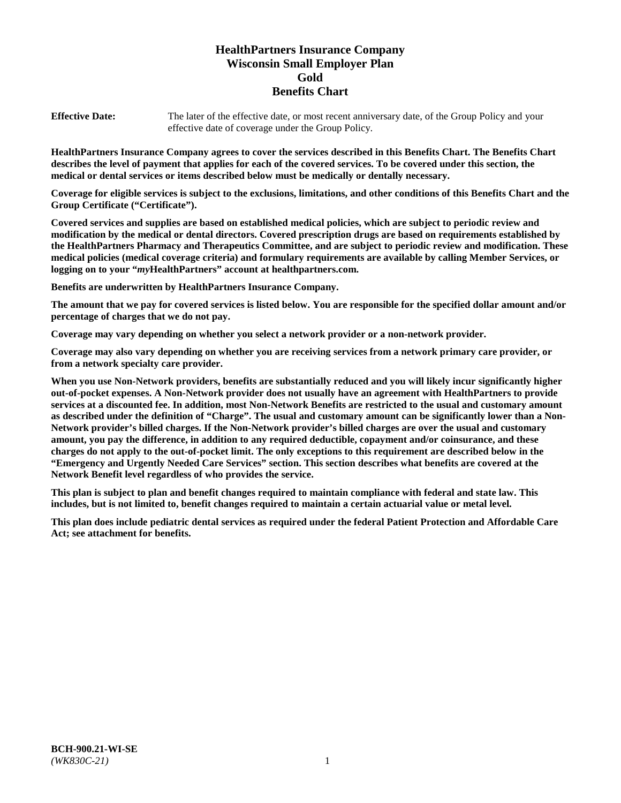# **HealthPartners Insurance Company Wisconsin Small Employer Plan Gold Benefits Chart**

**Effective Date:** The later of the effective date, or most recent anniversary date, of the Group Policy and your effective date of coverage under the Group Policy.

**HealthPartners Insurance Company agrees to cover the services described in this Benefits Chart. The Benefits Chart describes the level of payment that applies for each of the covered services. To be covered under this section, the medical or dental services or items described below must be medically or dentally necessary.**

**Coverage for eligible services is subject to the exclusions, limitations, and other conditions of this Benefits Chart and the Group Certificate ("Certificate").**

**Covered services and supplies are based on established medical policies, which are subject to periodic review and modification by the medical or dental directors. Covered prescription drugs are based on requirements established by the HealthPartners Pharmacy and Therapeutics Committee, and are subject to periodic review and modification. These medical policies (medical coverage criteria) and formulary requirements are available by calling Member Services, or logging on to your "***my***HealthPartners" account at [healthpartners.com.](https://www.healthpartners.com/hp/index.html)**

**Benefits are underwritten by HealthPartners Insurance Company.**

**The amount that we pay for covered services is listed below. You are responsible for the specified dollar amount and/or percentage of charges that we do not pay.**

**Coverage may vary depending on whether you select a network provider or a non-network provider.**

**Coverage may also vary depending on whether you are receiving services from a network primary care provider, or from a network specialty care provider.**

**When you use Non-Network providers, benefits are substantially reduced and you will likely incur significantly higher out-of-pocket expenses. A Non-Network provider does not usually have an agreement with HealthPartners to provide services at a discounted fee. In addition, most Non-Network Benefits are restricted to the usual and customary amount as described under the definition of "Charge". The usual and customary amount can be significantly lower than a Non-Network provider's billed charges. If the Non-Network provider's billed charges are over the usual and customary amount, you pay the difference, in addition to any required deductible, copayment and/or coinsurance, and these charges do not apply to the out-of-pocket limit. The only exceptions to this requirement are described below in the "Emergency and Urgently Needed Care Services" section. This section describes what benefits are covered at the Network Benefit level regardless of who provides the service.**

**This plan is subject to plan and benefit changes required to maintain compliance with federal and state law. This includes, but is not limited to, benefit changes required to maintain a certain actuarial value or metal level.**

**This plan does include pediatric dental services as required under the federal Patient Protection and Affordable Care Act; see attachment for benefits.**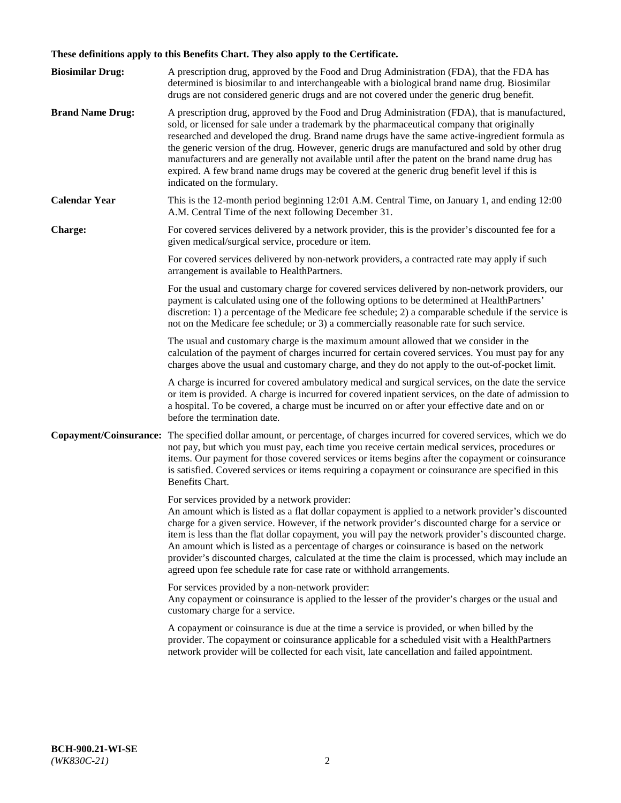# **These definitions apply to this Benefits Chart. They also apply to the Certificate.**

| <b>Biosimilar Drug:</b> | A prescription drug, approved by the Food and Drug Administration (FDA), that the FDA has<br>determined is biosimilar to and interchangeable with a biological brand name drug. Biosimilar<br>drugs are not considered generic drugs and are not covered under the generic drug benefit.                                                                                                                                                                                                                                                                                                                                                     |
|-------------------------|----------------------------------------------------------------------------------------------------------------------------------------------------------------------------------------------------------------------------------------------------------------------------------------------------------------------------------------------------------------------------------------------------------------------------------------------------------------------------------------------------------------------------------------------------------------------------------------------------------------------------------------------|
| <b>Brand Name Drug:</b> | A prescription drug, approved by the Food and Drug Administration (FDA), that is manufactured,<br>sold, or licensed for sale under a trademark by the pharmaceutical company that originally<br>researched and developed the drug. Brand name drugs have the same active-ingredient formula as<br>the generic version of the drug. However, generic drugs are manufactured and sold by other drug<br>manufacturers and are generally not available until after the patent on the brand name drug has<br>expired. A few brand name drugs may be covered at the generic drug benefit level if this is<br>indicated on the formulary.           |
| <b>Calendar Year</b>    | This is the 12-month period beginning 12:01 A.M. Central Time, on January 1, and ending 12:00<br>A.M. Central Time of the next following December 31.                                                                                                                                                                                                                                                                                                                                                                                                                                                                                        |
| <b>Charge:</b>          | For covered services delivered by a network provider, this is the provider's discounted fee for a<br>given medical/surgical service, procedure or item.                                                                                                                                                                                                                                                                                                                                                                                                                                                                                      |
|                         | For covered services delivered by non-network providers, a contracted rate may apply if such<br>arrangement is available to HealthPartners.                                                                                                                                                                                                                                                                                                                                                                                                                                                                                                  |
|                         | For the usual and customary charge for covered services delivered by non-network providers, our<br>payment is calculated using one of the following options to be determined at HealthPartners'<br>discretion: 1) a percentage of the Medicare fee schedule; 2) a comparable schedule if the service is<br>not on the Medicare fee schedule; or 3) a commercially reasonable rate for such service.                                                                                                                                                                                                                                          |
|                         | The usual and customary charge is the maximum amount allowed that we consider in the<br>calculation of the payment of charges incurred for certain covered services. You must pay for any<br>charges above the usual and customary charge, and they do not apply to the out-of-pocket limit.                                                                                                                                                                                                                                                                                                                                                 |
|                         | A charge is incurred for covered ambulatory medical and surgical services, on the date the service<br>or item is provided. A charge is incurred for covered inpatient services, on the date of admission to<br>a hospital. To be covered, a charge must be incurred on or after your effective date and on or<br>before the termination date.                                                                                                                                                                                                                                                                                                |
| Copayment/Coinsurance:  | The specified dollar amount, or percentage, of charges incurred for covered services, which we do<br>not pay, but which you must pay, each time you receive certain medical services, procedures or<br>items. Our payment for those covered services or items begins after the copayment or coinsurance<br>is satisfied. Covered services or items requiring a copayment or coinsurance are specified in this<br>Benefits Chart.                                                                                                                                                                                                             |
|                         | For services provided by a network provider:<br>An amount which is listed as a flat dollar copayment is applied to a network provider's discounted<br>charge for a given service. However, if the network provider's discounted charge for a service or<br>item is less than the flat dollar copayment, you will pay the network provider's discounted charge.<br>An amount which is listed as a percentage of charges or coinsurance is based on the network<br>provider's discounted charges, calculated at the time the claim is processed, which may include an<br>agreed upon fee schedule rate for case rate or withhold arrangements. |
|                         | For services provided by a non-network provider:<br>Any copayment or coinsurance is applied to the lesser of the provider's charges or the usual and<br>customary charge for a service.                                                                                                                                                                                                                                                                                                                                                                                                                                                      |
|                         | A copayment or coinsurance is due at the time a service is provided, or when billed by the<br>provider. The copayment or coinsurance applicable for a scheduled visit with a HealthPartners<br>network provider will be collected for each visit, late cancellation and failed appointment.                                                                                                                                                                                                                                                                                                                                                  |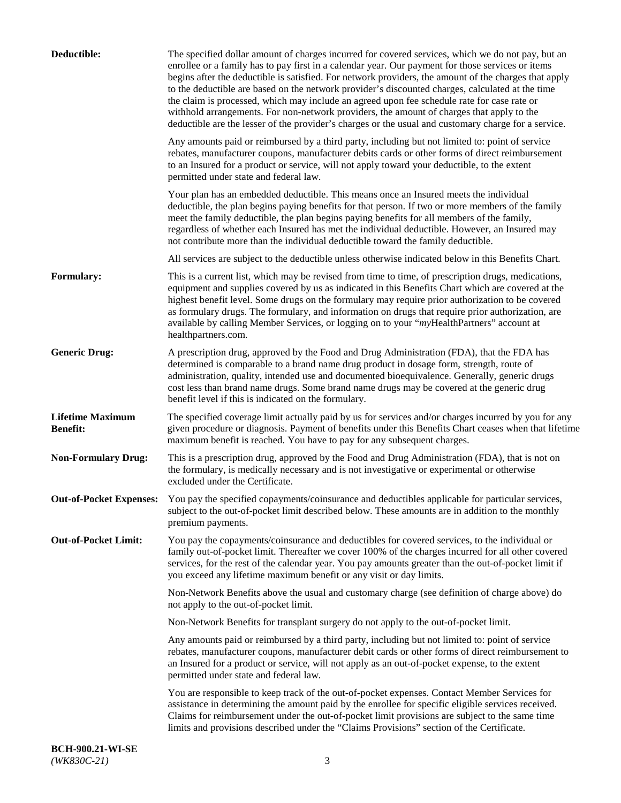| Deductible:                                | The specified dollar amount of charges incurred for covered services, which we do not pay, but an<br>enrollee or a family has to pay first in a calendar year. Our payment for those services or items<br>begins after the deductible is satisfied. For network providers, the amount of the charges that apply<br>to the deductible are based on the network provider's discounted charges, calculated at the time<br>the claim is processed, which may include an agreed upon fee schedule rate for case rate or<br>withhold arrangements. For non-network providers, the amount of charges that apply to the<br>deductible are the lesser of the provider's charges or the usual and customary charge for a service. |
|--------------------------------------------|-------------------------------------------------------------------------------------------------------------------------------------------------------------------------------------------------------------------------------------------------------------------------------------------------------------------------------------------------------------------------------------------------------------------------------------------------------------------------------------------------------------------------------------------------------------------------------------------------------------------------------------------------------------------------------------------------------------------------|
|                                            | Any amounts paid or reimbursed by a third party, including but not limited to: point of service<br>rebates, manufacturer coupons, manufacturer debits cards or other forms of direct reimbursement<br>to an Insured for a product or service, will not apply toward your deductible, to the extent<br>permitted under state and federal law.                                                                                                                                                                                                                                                                                                                                                                            |
|                                            | Your plan has an embedded deductible. This means once an Insured meets the individual<br>deductible, the plan begins paying benefits for that person. If two or more members of the family<br>meet the family deductible, the plan begins paying benefits for all members of the family,<br>regardless of whether each Insured has met the individual deductible. However, an Insured may<br>not contribute more than the individual deductible toward the family deductible.                                                                                                                                                                                                                                           |
|                                            | All services are subject to the deductible unless otherwise indicated below in this Benefits Chart.                                                                                                                                                                                                                                                                                                                                                                                                                                                                                                                                                                                                                     |
| Formulary:                                 | This is a current list, which may be revised from time to time, of prescription drugs, medications,<br>equipment and supplies covered by us as indicated in this Benefits Chart which are covered at the<br>highest benefit level. Some drugs on the formulary may require prior authorization to be covered<br>as formulary drugs. The formulary, and information on drugs that require prior authorization, are<br>available by calling Member Services, or logging on to your "myHealthPartners" account at<br>healthpartners.com.                                                                                                                                                                                   |
| <b>Generic Drug:</b>                       | A prescription drug, approved by the Food and Drug Administration (FDA), that the FDA has<br>determined is comparable to a brand name drug product in dosage form, strength, route of<br>administration, quality, intended use and documented bioequivalence. Generally, generic drugs<br>cost less than brand name drugs. Some brand name drugs may be covered at the generic drug<br>benefit level if this is indicated on the formulary.                                                                                                                                                                                                                                                                             |
| <b>Lifetime Maximum</b><br><b>Benefit:</b> | The specified coverage limit actually paid by us for services and/or charges incurred by you for any<br>given procedure or diagnosis. Payment of benefits under this Benefits Chart ceases when that lifetime<br>maximum benefit is reached. You have to pay for any subsequent charges.                                                                                                                                                                                                                                                                                                                                                                                                                                |
| <b>Non-Formulary Drug:</b>                 | This is a prescription drug, approved by the Food and Drug Administration (FDA), that is not on<br>the formulary, is medically necessary and is not investigative or experimental or otherwise<br>excluded under the Certificate.                                                                                                                                                                                                                                                                                                                                                                                                                                                                                       |
|                                            | Out-of-Pocket Expenses: You pay the specified copayments/coinsurance and deductibles applicable for particular services,<br>subject to the out-of-pocket limit described below. These amounts are in addition to the monthly<br>premium payments.                                                                                                                                                                                                                                                                                                                                                                                                                                                                       |
| <b>Out-of-Pocket Limit:</b>                | You pay the copayments/coinsurance and deductibles for covered services, to the individual or<br>family out-of-pocket limit. Thereafter we cover 100% of the charges incurred for all other covered<br>services, for the rest of the calendar year. You pay amounts greater than the out-of-pocket limit if<br>you exceed any lifetime maximum benefit or any visit or day limits.                                                                                                                                                                                                                                                                                                                                      |
|                                            | Non-Network Benefits above the usual and customary charge (see definition of charge above) do<br>not apply to the out-of-pocket limit.                                                                                                                                                                                                                                                                                                                                                                                                                                                                                                                                                                                  |
|                                            | Non-Network Benefits for transplant surgery do not apply to the out-of-pocket limit.                                                                                                                                                                                                                                                                                                                                                                                                                                                                                                                                                                                                                                    |
|                                            | Any amounts paid or reimbursed by a third party, including but not limited to: point of service<br>rebates, manufacturer coupons, manufacturer debit cards or other forms of direct reimbursement to<br>an Insured for a product or service, will not apply as an out-of-pocket expense, to the extent<br>permitted under state and federal law.                                                                                                                                                                                                                                                                                                                                                                        |
|                                            | You are responsible to keep track of the out-of-pocket expenses. Contact Member Services for<br>assistance in determining the amount paid by the enrollee for specific eligible services received.<br>Claims for reimbursement under the out-of-pocket limit provisions are subject to the same time<br>limits and provisions described under the "Claims Provisions" section of the Certificate.                                                                                                                                                                                                                                                                                                                       |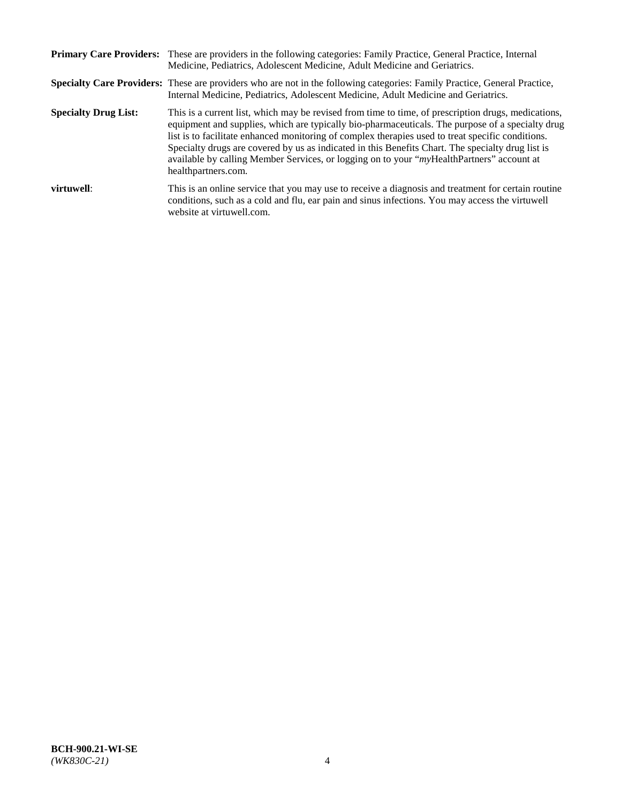|                             | Primary Care Providers: These are providers in the following categories: Family Practice, General Practice, Internal<br>Medicine, Pediatrics, Adolescent Medicine, Adult Medicine and Geriatrics.                                                                                                                                                                                                                                                                                                                                     |
|-----------------------------|---------------------------------------------------------------------------------------------------------------------------------------------------------------------------------------------------------------------------------------------------------------------------------------------------------------------------------------------------------------------------------------------------------------------------------------------------------------------------------------------------------------------------------------|
|                             | <b>Specialty Care Providers:</b> These are providers who are not in the following categories: Family Practice, General Practice,<br>Internal Medicine, Pediatrics, Adolescent Medicine, Adult Medicine and Geriatrics.                                                                                                                                                                                                                                                                                                                |
| <b>Specialty Drug List:</b> | This is a current list, which may be revised from time to time, of prescription drugs, medications,<br>equipment and supplies, which are typically bio-pharmaceuticals. The purpose of a specialty drug<br>list is to facilitate enhanced monitoring of complex therapies used to treat specific conditions.<br>Specialty drugs are covered by us as indicated in this Benefits Chart. The specialty drug list is<br>available by calling Member Services, or logging on to your "myHealthPartners" account at<br>healthpartners.com. |
| virtuwell:                  | This is an online service that you may use to receive a diagnosis and treatment for certain routine<br>conditions, such as a cold and flu, ear pain and sinus infections. You may access the virtuwell<br>website at virtuwell.com.                                                                                                                                                                                                                                                                                                   |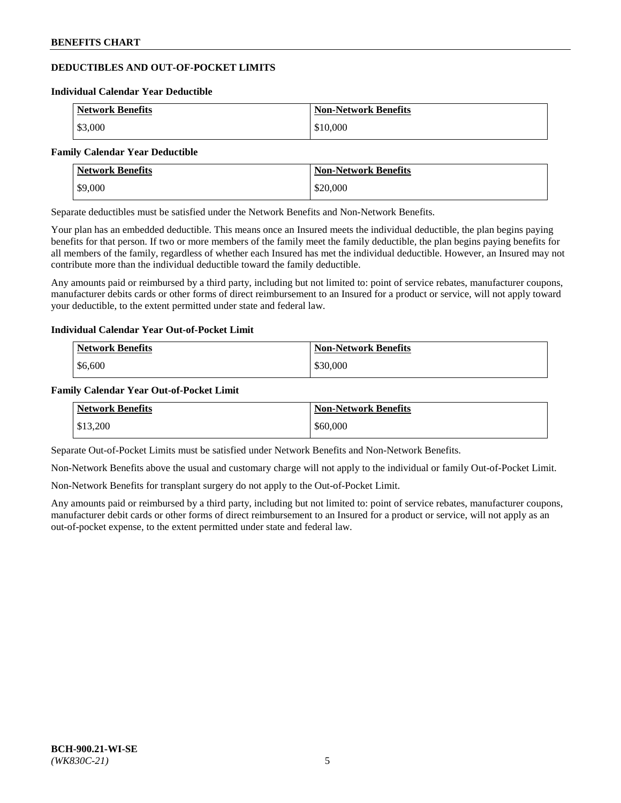# **DEDUCTIBLES AND OUT-OF-POCKET LIMITS**

#### **Individual Calendar Year Deductible**

| <b>Network Benefits</b> | <b>Non-Network Benefits</b> |
|-------------------------|-----------------------------|
| \$3,000                 | \$10,000                    |

#### **Family Calendar Year Deductible**

| <b>Network Benefits</b> | <b>Non-Network Benefits</b> |
|-------------------------|-----------------------------|
| \$9,000                 | \$20,000                    |

Separate deductibles must be satisfied under the Network Benefits and Non-Network Benefits.

Your plan has an embedded deductible. This means once an Insured meets the individual deductible, the plan begins paying benefits for that person. If two or more members of the family meet the family deductible, the plan begins paying benefits for all members of the family, regardless of whether each Insured has met the individual deductible. However, an Insured may not contribute more than the individual deductible toward the family deductible.

Any amounts paid or reimbursed by a third party, including but not limited to: point of service rebates, manufacturer coupons, manufacturer debits cards or other forms of direct reimbursement to an Insured for a product or service, will not apply toward your deductible, to the extent permitted under state and federal law.

## **Individual Calendar Year Out-of-Pocket Limit**

| <b>Network Benefits</b> | <b>Non-Network Benefits</b> |
|-------------------------|-----------------------------|
| \$6,600                 | \$30,000                    |

### **Family Calendar Year Out-of-Pocket Limit**

| <b>Network Benefits</b> | <b>Non-Network Benefits</b> |
|-------------------------|-----------------------------|
| \$13,200                | \$60,000                    |

Separate Out-of-Pocket Limits must be satisfied under Network Benefits and Non-Network Benefits.

Non-Network Benefits above the usual and customary charge will not apply to the individual or family Out-of-Pocket Limit.

Non-Network Benefits for transplant surgery do not apply to the Out-of-Pocket Limit.

Any amounts paid or reimbursed by a third party, including but not limited to: point of service rebates, manufacturer coupons, manufacturer debit cards or other forms of direct reimbursement to an Insured for a product or service, will not apply as an out-of-pocket expense, to the extent permitted under state and federal law.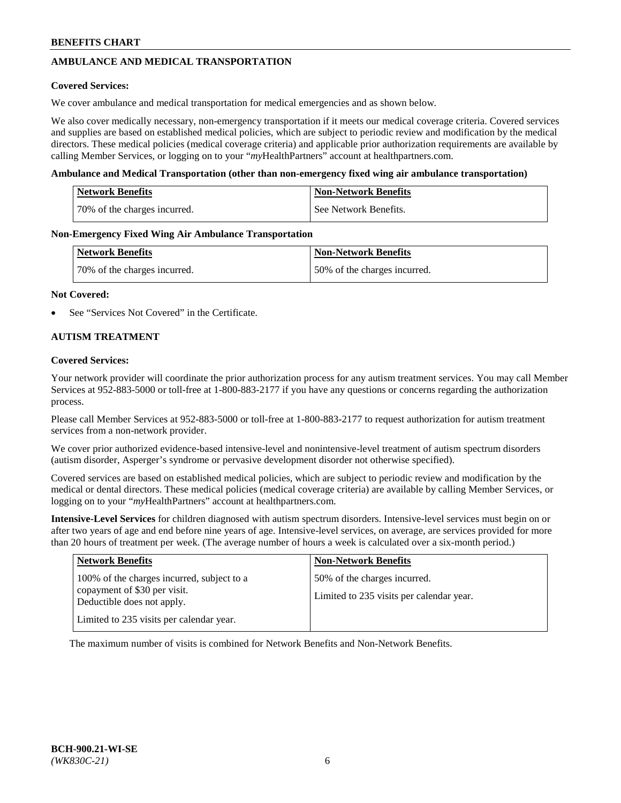# **AMBULANCE AND MEDICAL TRANSPORTATION**

## **Covered Services:**

We cover ambulance and medical transportation for medical emergencies and as shown below.

We also cover medically necessary, non-emergency transportation if it meets our medical coverage criteria. Covered services and supplies are based on established medical policies, which are subject to periodic review and modification by the medical directors. These medical policies (medical coverage criteria) and applicable prior authorization requirements are available by calling Member Services, or logging on to your "*my*HealthPartners" account a[t healthpartners.com.](https://www.healthpartners.com/hp/index.html)

### **Ambulance and Medical Transportation (other than non-emergency fixed wing air ambulance transportation)**

| <b>Network Benefits</b>      | <b>Non-Network Benefits</b> |
|------------------------------|-----------------------------|
| 70% of the charges incurred. | See Network Benefits.       |

### **Non-Emergency Fixed Wing Air Ambulance Transportation**

| <b>Network Benefits</b>      | <b>Non-Network Benefits</b>  |
|------------------------------|------------------------------|
| 70% of the charges incurred. | 50% of the charges incurred. |

### **Not Covered:**

See "Services Not Covered" in the Certificate.

## **AUTISM TREATMENT**

### **Covered Services:**

Your network provider will coordinate the prior authorization process for any autism treatment services. You may call Member Services at 952-883-5000 or toll-free at 1-800-883-2177 if you have any questions or concerns regarding the authorization process.

Please call Member Services at 952-883-5000 or toll-free at 1-800-883-2177 to request authorization for autism treatment services from a non-network provider.

We cover prior authorized evidence-based intensive-level and nonintensive-level treatment of autism spectrum disorders (autism disorder, Asperger's syndrome or pervasive development disorder not otherwise specified).

Covered services are based on established medical policies, which are subject to periodic review and modification by the medical or dental directors. These medical policies (medical coverage criteria) are available by calling Member Services, or logging on to your "*my*HealthPartners" account at [healthpartners.com.](https://www.healthpartners.com/hp/index.html)

**Intensive-Level Services** for children diagnosed with autism spectrum disorders. Intensive-level services must begin on or after two years of age and end before nine years of age. Intensive-level services, on average, are services provided for more than 20 hours of treatment per week. (The average number of hours a week is calculated over a six-month period.)

| <b>Network Benefits</b>                                                                                                                              | <b>Non-Network Benefits</b>                                              |
|------------------------------------------------------------------------------------------------------------------------------------------------------|--------------------------------------------------------------------------|
| 100% of the charges incurred, subject to a<br>copayment of \$30 per visit.<br>Deductible does not apply.<br>Limited to 235 visits per calendar year. | 50% of the charges incurred.<br>Limited to 235 visits per calendar year. |

The maximum number of visits is combined for Network Benefits and Non-Network Benefits.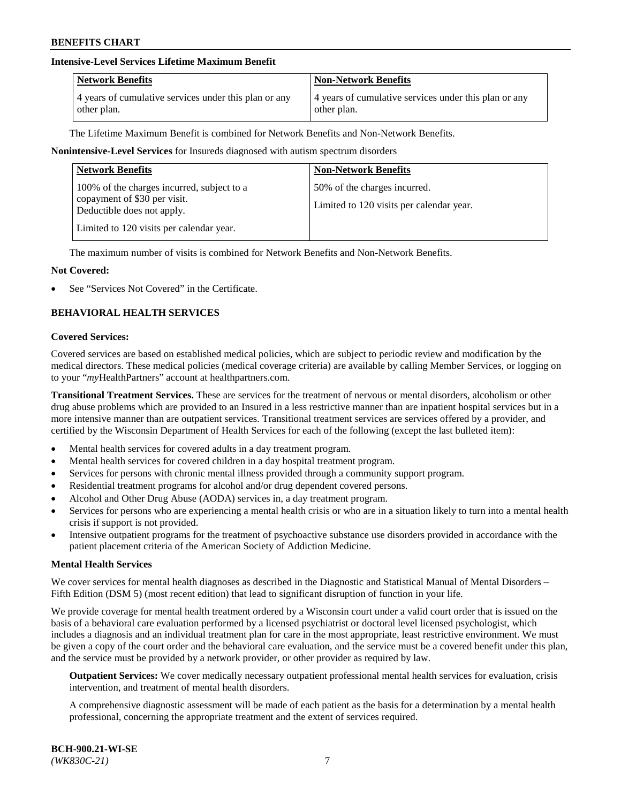## **Intensive-Level Services Lifetime Maximum Benefit**

| <b>Network Benefits</b>                               | <b>Non-Network Benefits</b>                           |
|-------------------------------------------------------|-------------------------------------------------------|
| 4 years of cumulative services under this plan or any | 4 years of cumulative services under this plan or any |
| other plan.                                           | other plan.                                           |

The Lifetime Maximum Benefit is combined for Network Benefits and Non-Network Benefits.

### **Nonintensive-Level Services** for Insureds diagnosed with autism spectrum disorders

| <b>Network Benefits</b>                                                                                                                              | <b>Non-Network Benefits</b>                                              |
|------------------------------------------------------------------------------------------------------------------------------------------------------|--------------------------------------------------------------------------|
| 100% of the charges incurred, subject to a<br>copayment of \$30 per visit.<br>Deductible does not apply.<br>Limited to 120 visits per calendar year. | 50% of the charges incurred.<br>Limited to 120 visits per calendar year. |

The maximum number of visits is combined for Network Benefits and Non-Network Benefits.

### **Not Covered:**

See "Services Not Covered" in the Certificate.

## **BEHAVIORAL HEALTH SERVICES**

#### **Covered Services:**

Covered services are based on established medical policies, which are subject to periodic review and modification by the medical directors. These medical policies (medical coverage criteria) are available by calling Member Services, or logging on to your "*my*HealthPartners" account at [healthpartners.com.](https://www.healthpartners.com/hp/index.html)

**Transitional Treatment Services.** These are services for the treatment of nervous or mental disorders, alcoholism or other drug abuse problems which are provided to an Insured in a less restrictive manner than are inpatient hospital services but in a more intensive manner than are outpatient services. Transitional treatment services are services offered by a provider, and certified by the Wisconsin Department of Health Services for each of the following (except the last bulleted item):

- Mental health services for covered adults in a day treatment program.
- Mental health services for covered children in a day hospital treatment program.
- Services for persons with chronic mental illness provided through a community support program.
- Residential treatment programs for alcohol and/or drug dependent covered persons.
- Alcohol and Other Drug Abuse (AODA) services in, a day treatment program.
- Services for persons who are experiencing a mental health crisis or who are in a situation likely to turn into a mental health crisis if support is not provided.
- Intensive outpatient programs for the treatment of psychoactive substance use disorders provided in accordance with the patient placement criteria of the American Society of Addiction Medicine.

#### **Mental Health Services**

We cover services for mental health diagnoses as described in the Diagnostic and Statistical Manual of Mental Disorders – Fifth Edition (DSM 5) (most recent edition) that lead to significant disruption of function in your life.

We provide coverage for mental health treatment ordered by a Wisconsin court under a valid court order that is issued on the basis of a behavioral care evaluation performed by a licensed psychiatrist or doctoral level licensed psychologist, which includes a diagnosis and an individual treatment plan for care in the most appropriate, least restrictive environment. We must be given a copy of the court order and the behavioral care evaluation, and the service must be a covered benefit under this plan, and the service must be provided by a network provider, or other provider as required by law.

**Outpatient Services:** We cover medically necessary outpatient professional mental health services for evaluation, crisis intervention, and treatment of mental health disorders.

A comprehensive diagnostic assessment will be made of each patient as the basis for a determination by a mental health professional, concerning the appropriate treatment and the extent of services required.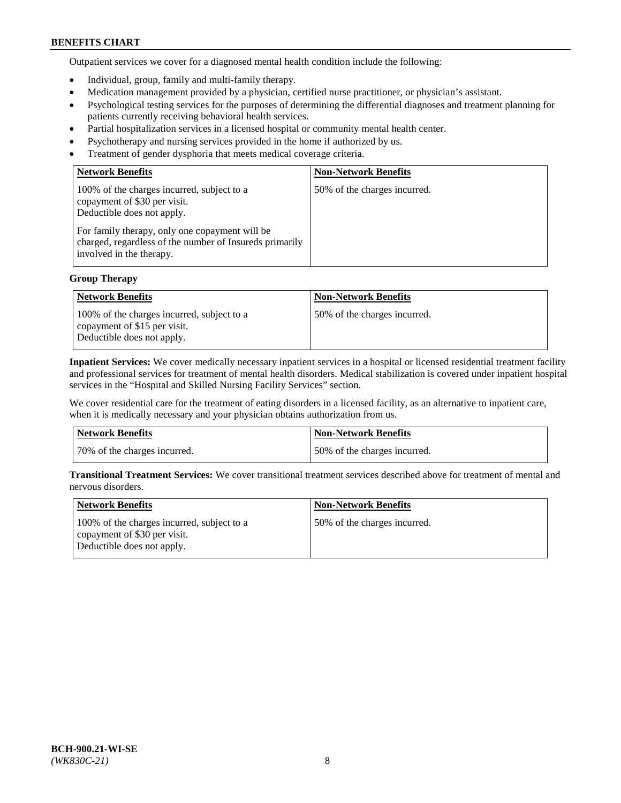Outpatient services we cover for a diagnosed mental health condition include the following:

- Individual, group, family and multi-family therapy.
- Medication management provided by a physician, certified nurse practitioner, or physician's assistant.
- Psychological testing services for the purposes of determining the differential diagnoses and treatment planning for patients currently receiving behavioral health services.
- Partial hospitalization services in a licensed hospital or community mental health center.
- Psychotherapy and nursing services provided in the home if authorized by us.
- Treatment of gender dysphoria that meets medical coverage criteria.

| <b>Network Benefits</b>                                                                                                                                                                                                                           | <b>Non-Network Benefits</b>  |
|---------------------------------------------------------------------------------------------------------------------------------------------------------------------------------------------------------------------------------------------------|------------------------------|
| 100% of the charges incurred, subject to a<br>copayment of \$30 per visit.<br>Deductible does not apply.<br>For family therapy, only one copayment will be<br>charged, regardless of the number of Insureds primarily<br>involved in the therapy. | 50% of the charges incurred. |

## **Group Therapy**

| <b>Network Benefits</b>                                                                                  | <b>Non-Network Benefits</b>  |
|----------------------------------------------------------------------------------------------------------|------------------------------|
| 100% of the charges incurred, subject to a<br>copayment of \$15 per visit.<br>Deductible does not apply. | 50% of the charges incurred. |

**Inpatient Services:** We cover medically necessary inpatient services in a hospital or licensed residential treatment facility and professional services for treatment of mental health disorders. Medical stabilization is covered under inpatient hospital services in the "Hospital and Skilled Nursing Facility Services" section.

We cover residential care for the treatment of eating disorders in a licensed facility, as an alternative to inpatient care, when it is medically necessary and your physician obtains authorization from us.

| Network Benefits             | Non-Network Benefits         |
|------------------------------|------------------------------|
| 70% of the charges incurred. | 50% of the charges incurred. |

**Transitional Treatment Services:** We cover transitional treatment services described above for treatment of mental and nervous disorders.

| <b>Network Benefits</b>                                                                                  | <b>Non-Network Benefits</b>  |
|----------------------------------------------------------------------------------------------------------|------------------------------|
| 100% of the charges incurred, subject to a<br>copayment of \$30 per visit.<br>Deductible does not apply. | 50% of the charges incurred. |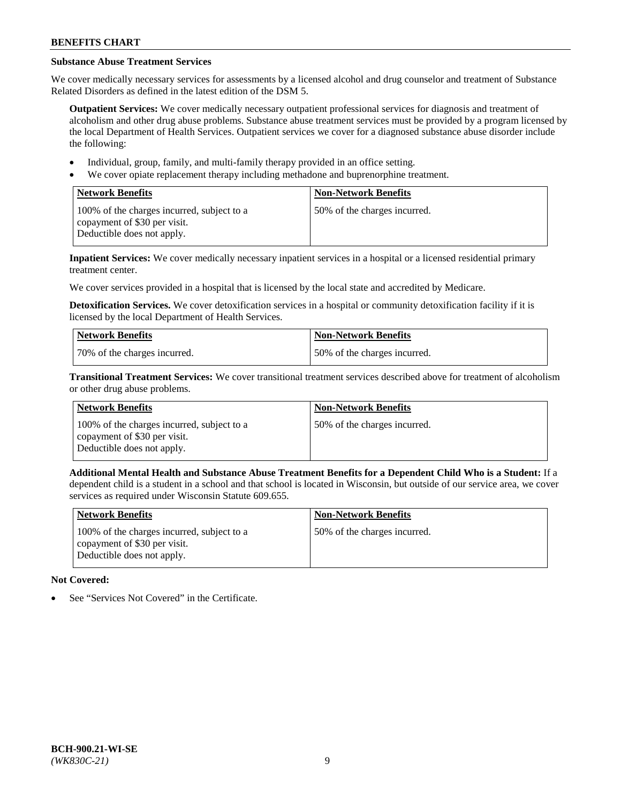# **Substance Abuse Treatment Services**

We cover medically necessary services for assessments by a licensed alcohol and drug counselor and treatment of Substance Related Disorders as defined in the latest edition of the DSM 5.

**Outpatient Services:** We cover medically necessary outpatient professional services for diagnosis and treatment of alcoholism and other drug abuse problems. Substance abuse treatment services must be provided by a program licensed by the local Department of Health Services. Outpatient services we cover for a diagnosed substance abuse disorder include the following:

- Individual, group, family, and multi-family therapy provided in an office setting.
- We cover opiate replacement therapy including methadone and buprenorphine treatment.

| <b>Network Benefits</b>                                                                                  | <b>Non-Network Benefits</b>  |
|----------------------------------------------------------------------------------------------------------|------------------------------|
| 100% of the charges incurred, subject to a<br>copayment of \$30 per visit.<br>Deductible does not apply. | 50% of the charges incurred. |

**Inpatient Services:** We cover medically necessary inpatient services in a hospital or a licensed residential primary treatment center.

We cover services provided in a hospital that is licensed by the local state and accredited by Medicare.

**Detoxification Services.** We cover detoxification services in a hospital or community detoxification facility if it is licensed by the local Department of Health Services.

| Network Benefits             | <b>Non-Network Benefits</b>  |
|------------------------------|------------------------------|
| 70% of the charges incurred. | 50% of the charges incurred. |

**Transitional Treatment Services:** We cover transitional treatment services described above for treatment of alcoholism or other drug abuse problems.

| <b>Network Benefits</b>                                                                                  | <b>Non-Network Benefits</b>  |
|----------------------------------------------------------------------------------------------------------|------------------------------|
| 100% of the charges incurred, subject to a<br>copayment of \$30 per visit.<br>Deductible does not apply. | 50% of the charges incurred. |

**Additional Mental Health and Substance Abuse Treatment Benefits for a Dependent Child Who is a Student:** If a dependent child is a student in a school and that school is located in Wisconsin, but outside of our service area, we cover services as required under Wisconsin Statute 609.655.

| <b>Network Benefits</b>                                                                                  | <b>Non-Network Benefits</b>  |
|----------------------------------------------------------------------------------------------------------|------------------------------|
| 100% of the charges incurred, subject to a<br>copayment of \$30 per visit.<br>Deductible does not apply. | 50% of the charges incurred. |

# **Not Covered:**

See "Services Not Covered" in the Certificate.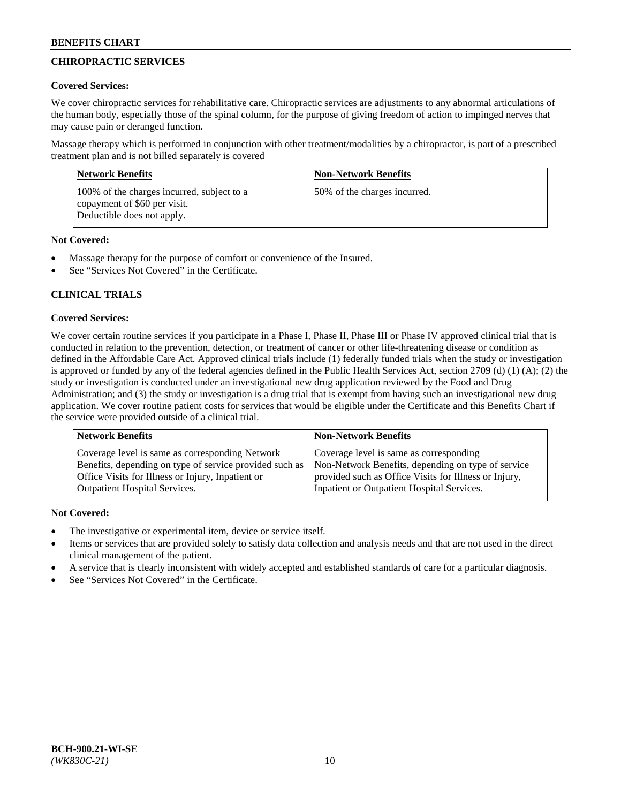# **CHIROPRACTIC SERVICES**

## **Covered Services:**

We cover chiropractic services for rehabilitative care. Chiropractic services are adjustments to any abnormal articulations of the human body, especially those of the spinal column, for the purpose of giving freedom of action to impinged nerves that may cause pain or deranged function.

Massage therapy which is performed in conjunction with other treatment/modalities by a chiropractor, is part of a prescribed treatment plan and is not billed separately is covered

| <b>Network Benefits</b>                                                                                  | <b>Non-Network Benefits</b>  |
|----------------------------------------------------------------------------------------------------------|------------------------------|
| 100% of the charges incurred, subject to a<br>copayment of \$60 per visit.<br>Deductible does not apply. | 50% of the charges incurred. |

## **Not Covered:**

- Massage therapy for the purpose of comfort or convenience of the Insured.
- See "Services Not Covered" in the Certificate.

# **CLINICAL TRIALS**

## **Covered Services:**

We cover certain routine services if you participate in a Phase I, Phase II, Phase III or Phase IV approved clinical trial that is conducted in relation to the prevention, detection, or treatment of cancer or other life-threatening disease or condition as defined in the Affordable Care Act. Approved clinical trials include (1) federally funded trials when the study or investigation is approved or funded by any of the federal agencies defined in the Public Health Services Act, section 2709 (d) (1) (A); (2) the study or investigation is conducted under an investigational new drug application reviewed by the Food and Drug Administration; and (3) the study or investigation is a drug trial that is exempt from having such an investigational new drug application. We cover routine patient costs for services that would be eligible under the Certificate and this Benefits Chart if the service were provided outside of a clinical trial.

| <b>Network Benefits</b>                                 | <b>Non-Network Benefits</b>                           |
|---------------------------------------------------------|-------------------------------------------------------|
| Coverage level is same as corresponding Network         | Coverage level is same as corresponding               |
| Benefits, depending on type of service provided such as | Non-Network Benefits, depending on type of service    |
| Office Visits for Illness or Injury, Inpatient or       | provided such as Office Visits for Illness or Injury, |
| Outpatient Hospital Services.                           | Inpatient or Outpatient Hospital Services.            |

# **Not Covered:**

- The investigative or experimental item, device or service itself.
- Items or services that are provided solely to satisfy data collection and analysis needs and that are not used in the direct clinical management of the patient.
- A service that is clearly inconsistent with widely accepted and established standards of care for a particular diagnosis.
- See "Services Not Covered" in the Certificate.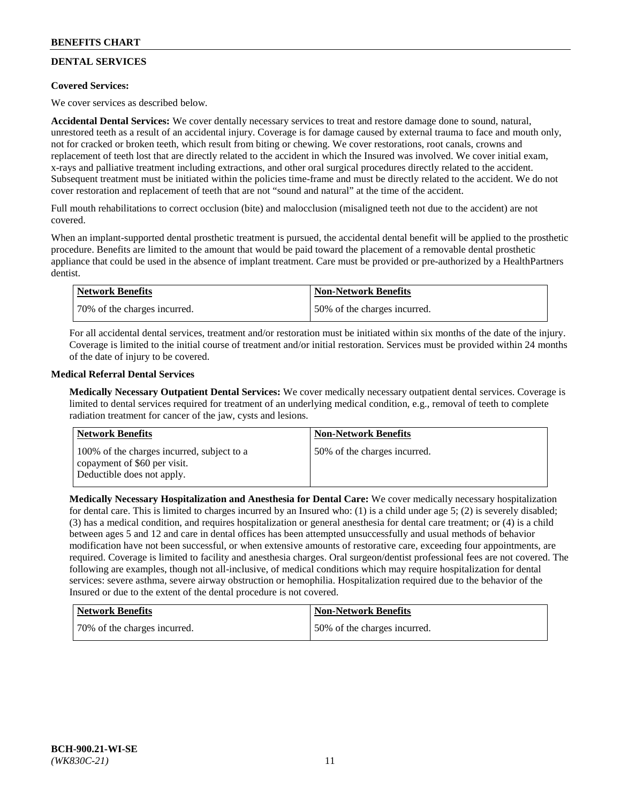# **DENTAL SERVICES**

## **Covered Services:**

We cover services as described below.

**Accidental Dental Services:** We cover dentally necessary services to treat and restore damage done to sound, natural, unrestored teeth as a result of an accidental injury. Coverage is for damage caused by external trauma to face and mouth only, not for cracked or broken teeth, which result from biting or chewing. We cover restorations, root canals, crowns and replacement of teeth lost that are directly related to the accident in which the Insured was involved. We cover initial exam, x-rays and palliative treatment including extractions, and other oral surgical procedures directly related to the accident. Subsequent treatment must be initiated within the policies time-frame and must be directly related to the accident. We do not cover restoration and replacement of teeth that are not "sound and natural" at the time of the accident.

Full mouth rehabilitations to correct occlusion (bite) and malocclusion (misaligned teeth not due to the accident) are not covered.

When an implant-supported dental prosthetic treatment is pursued, the accidental dental benefit will be applied to the prosthetic procedure. Benefits are limited to the amount that would be paid toward the placement of a removable dental prosthetic appliance that could be used in the absence of implant treatment. Care must be provided or pre-authorized by a HealthPartners dentist.

| <b>Network Benefits</b>      | <b>Non-Network Benefits</b>  |
|------------------------------|------------------------------|
| 70% of the charges incurred. | 50% of the charges incurred. |

For all accidental dental services, treatment and/or restoration must be initiated within six months of the date of the injury. Coverage is limited to the initial course of treatment and/or initial restoration. Services must be provided within 24 months of the date of injury to be covered.

## **Medical Referral Dental Services**

**Medically Necessary Outpatient Dental Services:** We cover medically necessary outpatient dental services. Coverage is limited to dental services required for treatment of an underlying medical condition, e.g., removal of teeth to complete radiation treatment for cancer of the jaw, cysts and lesions.

| <b>Network Benefits</b>                                                                                  | <b>Non-Network Benefits</b>  |
|----------------------------------------------------------------------------------------------------------|------------------------------|
| 100% of the charges incurred, subject to a<br>copayment of \$60 per visit.<br>Deductible does not apply. | 50% of the charges incurred. |

**Medically Necessary Hospitalization and Anesthesia for Dental Care:** We cover medically necessary hospitalization for dental care. This is limited to charges incurred by an Insured who: (1) is a child under age 5; (2) is severely disabled; (3) has a medical condition, and requires hospitalization or general anesthesia for dental care treatment; or (4) is a child between ages 5 and 12 and care in dental offices has been attempted unsuccessfully and usual methods of behavior modification have not been successful, or when extensive amounts of restorative care, exceeding four appointments, are required. Coverage is limited to facility and anesthesia charges. Oral surgeon/dentist professional fees are not covered. The following are examples, though not all-inclusive, of medical conditions which may require hospitalization for dental services: severe asthma, severe airway obstruction or hemophilia. Hospitalization required due to the behavior of the Insured or due to the extent of the dental procedure is not covered.

| Network Benefits             | <b>Non-Network Benefits</b>  |
|------------------------------|------------------------------|
| 70% of the charges incurred. | 50% of the charges incurred. |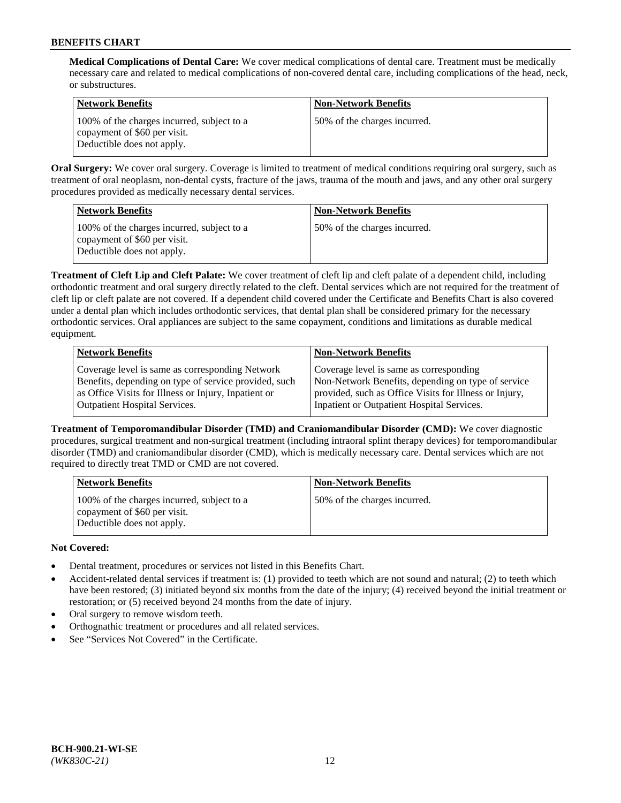**Medical Complications of Dental Care:** We cover medical complications of dental care. Treatment must be medically necessary care and related to medical complications of non-covered dental care, including complications of the head, neck, or substructures.

| <b>Network Benefits</b>                                                                                  | <b>Non-Network Benefits</b>  |
|----------------------------------------------------------------------------------------------------------|------------------------------|
| 100% of the charges incurred, subject to a<br>copayment of \$60 per visit.<br>Deductible does not apply. | 50% of the charges incurred. |

**Oral Surgery:** We cover oral surgery. Coverage is limited to treatment of medical conditions requiring oral surgery, such as treatment of oral neoplasm, non-dental cysts, fracture of the jaws, trauma of the mouth and jaws, and any other oral surgery procedures provided as medically necessary dental services.

| <b>Network Benefits</b>                                                                                  | <b>Non-Network Benefits</b>  |
|----------------------------------------------------------------------------------------------------------|------------------------------|
| 100% of the charges incurred, subject to a<br>copayment of \$60 per visit.<br>Deductible does not apply. | 50% of the charges incurred. |

**Treatment of Cleft Lip and Cleft Palate:** We cover treatment of cleft lip and cleft palate of a dependent child, including orthodontic treatment and oral surgery directly related to the cleft. Dental services which are not required for the treatment of cleft lip or cleft palate are not covered. If a dependent child covered under the Certificate and Benefits Chart is also covered under a dental plan which includes orthodontic services, that dental plan shall be considered primary for the necessary orthodontic services. Oral appliances are subject to the same copayment, conditions and limitations as durable medical equipment.

| <b>Network Benefits</b>                               | <b>Non-Network Benefits</b>                            |
|-------------------------------------------------------|--------------------------------------------------------|
| Coverage level is same as corresponding Network       | Coverage level is same as corresponding                |
| Benefits, depending on type of service provided, such | Non-Network Benefits, depending on type of service     |
| as Office Visits for Illness or Injury, Inpatient or  | provided, such as Office Visits for Illness or Injury, |
| Outpatient Hospital Services.                         | Inpatient or Outpatient Hospital Services.             |

**Treatment of Temporomandibular Disorder (TMD) and Craniomandibular Disorder (CMD):** We cover diagnostic procedures, surgical treatment and non-surgical treatment (including intraoral splint therapy devices) for temporomandibular disorder (TMD) and craniomandibular disorder (CMD), which is medically necessary care. Dental services which are not required to directly treat TMD or CMD are not covered.

| <b>Network Benefits</b>                                                                                  | <b>Non-Network Benefits</b>  |
|----------------------------------------------------------------------------------------------------------|------------------------------|
| 100% of the charges incurred, subject to a<br>copayment of \$60 per visit.<br>Deductible does not apply. | 50% of the charges incurred. |

# **Not Covered:**

- Dental treatment, procedures or services not listed in this Benefits Chart.
- Accident-related dental services if treatment is: (1) provided to teeth which are not sound and natural; (2) to teeth which have been restored; (3) initiated beyond six months from the date of the injury; (4) received beyond the initial treatment or restoration; or (5) received beyond 24 months from the date of injury.
- Oral surgery to remove wisdom teeth.
- Orthognathic treatment or procedures and all related services.
- See "Services Not Covered" in the Certificate.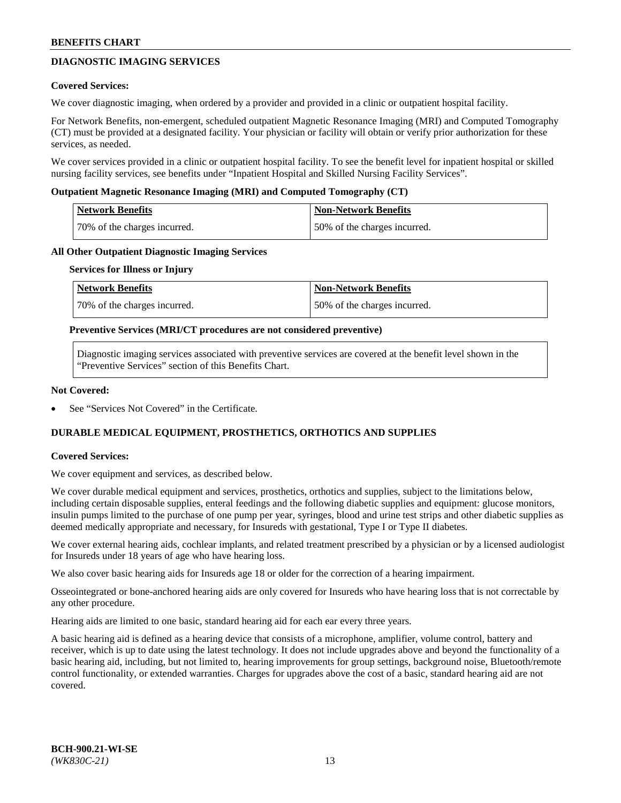# **DIAGNOSTIC IMAGING SERVICES**

### **Covered Services:**

We cover diagnostic imaging, when ordered by a provider and provided in a clinic or outpatient hospital facility.

For Network Benefits, non-emergent, scheduled outpatient Magnetic Resonance Imaging (MRI) and Computed Tomography (CT) must be provided at a designated facility. Your physician or facility will obtain or verify prior authorization for these services, as needed.

We cover services provided in a clinic or outpatient hospital facility. To see the benefit level for inpatient hospital or skilled nursing facility services, see benefits under "Inpatient Hospital and Skilled Nursing Facility Services".

### **Outpatient Magnetic Resonance Imaging (MRI) and Computed Tomography (CT)**

| <b>Network Benefits</b>      | <b>Non-Network Benefits</b>  |
|------------------------------|------------------------------|
| 70% of the charges incurred. | 50% of the charges incurred. |

### **All Other Outpatient Diagnostic Imaging Services**

#### **Services for Illness or Injury**

| Network Benefits             | <b>Non-Network Benefits</b>  |
|------------------------------|------------------------------|
| 70% of the charges incurred. | 50% of the charges incurred. |

### **Preventive Services (MRI/CT procedures are not considered preventive)**

Diagnostic imaging services associated with preventive services are covered at the benefit level shown in the "Preventive Services" section of this Benefits Chart.

### **Not Covered:**

See "Services Not Covered" in the Certificate.

# **DURABLE MEDICAL EQUIPMENT, PROSTHETICS, ORTHOTICS AND SUPPLIES**

#### **Covered Services:**

We cover equipment and services, as described below.

We cover durable medical equipment and services, prosthetics, orthotics and supplies, subject to the limitations below, including certain disposable supplies, enteral feedings and the following diabetic supplies and equipment: glucose monitors, insulin pumps limited to the purchase of one pump per year, syringes, blood and urine test strips and other diabetic supplies as deemed medically appropriate and necessary, for Insureds with gestational, Type I or Type II diabetes.

We cover external hearing aids, cochlear implants, and related treatment prescribed by a physician or by a licensed audiologist for Insureds under 18 years of age who have hearing loss.

We also cover basic hearing aids for Insureds age 18 or older for the correction of a hearing impairment.

Osseointegrated or bone-anchored hearing aids are only covered for Insureds who have hearing loss that is not correctable by any other procedure.

Hearing aids are limited to one basic, standard hearing aid for each ear every three years.

A basic hearing aid is defined as a hearing device that consists of a microphone, amplifier, volume control, battery and receiver, which is up to date using the latest technology. It does not include upgrades above and beyond the functionality of a basic hearing aid, including, but not limited to, hearing improvements for group settings, background noise, Bluetooth/remote control functionality, or extended warranties. Charges for upgrades above the cost of a basic, standard hearing aid are not covered.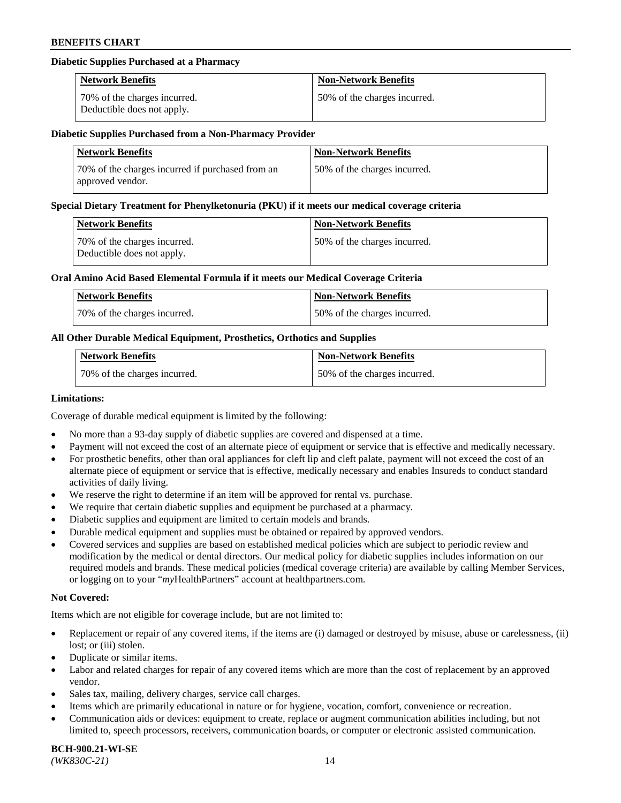## **Diabetic Supplies Purchased at a Pharmacy**

| <b>Network Benefits</b>                                    | <b>Non-Network Benefits</b>  |
|------------------------------------------------------------|------------------------------|
| 70% of the charges incurred.<br>Deductible does not apply. | 50% of the charges incurred. |

#### **Diabetic Supplies Purchased from a Non-Pharmacy Provider**

| <b>Network Benefits</b>                                              | <b>Non-Network Benefits</b>  |
|----------------------------------------------------------------------|------------------------------|
| 70% of the charges incurred if purchased from an<br>approved vendor. | 50% of the charges incurred. |

#### **Special Dietary Treatment for Phenylketonuria (PKU) if it meets our medical coverage criteria**

| Network Benefits                                           | <b>Non-Network Benefits</b>  |
|------------------------------------------------------------|------------------------------|
| 70% of the charges incurred.<br>Deductible does not apply. | 50% of the charges incurred. |

### **Oral Amino Acid Based Elemental Formula if it meets our Medical Coverage Criteria**

| Network Benefits             | <b>Non-Network Benefits</b>  |
|------------------------------|------------------------------|
| 70% of the charges incurred. | 50% of the charges incurred. |

## **All Other Durable Medical Equipment, Prosthetics, Orthotics and Supplies**

| <b>Network Benefits</b>      | <b>Non-Network Benefits</b>  |
|------------------------------|------------------------------|
| 70% of the charges incurred. | 50% of the charges incurred. |

#### **Limitations:**

Coverage of durable medical equipment is limited by the following:

- No more than a 93-day supply of diabetic supplies are covered and dispensed at a time.
- Payment will not exceed the cost of an alternate piece of equipment or service that is effective and medically necessary.
- For prosthetic benefits, other than oral appliances for cleft lip and cleft palate, payment will not exceed the cost of an alternate piece of equipment or service that is effective, medically necessary and enables Insureds to conduct standard
- activities of daily living. We reserve the right to determine if an item will be approved for rental vs. purchase.
- We require that certain diabetic supplies and equipment be purchased at a pharmacy.
- Diabetic supplies and equipment are limited to certain models and brands.
- Durable medical equipment and supplies must be obtained or repaired by approved vendors.
- Covered services and supplies are based on established medical policies which are subject to periodic review and modification by the medical or dental directors. Our medical policy for diabetic supplies includes information on our required models and brands. These medical policies (medical coverage criteria) are available by calling Member Services, or logging on to your "*my*HealthPartners" account a[t healthpartners.com.](https://www.healthpartners.com/hp/index.html)

## **Not Covered:**

Items which are not eligible for coverage include, but are not limited to:

- Replacement or repair of any covered items, if the items are (i) damaged or destroyed by misuse, abuse or carelessness, (ii) lost; or (iii) stolen.
- Duplicate or similar items.
- Labor and related charges for repair of any covered items which are more than the cost of replacement by an approved vendor.
- Sales tax, mailing, delivery charges, service call charges.
- Items which are primarily educational in nature or for hygiene, vocation, comfort, convenience or recreation.
- Communication aids or devices: equipment to create, replace or augment communication abilities including, but not limited to, speech processors, receivers, communication boards, or computer or electronic assisted communication.

#### **BCH-900.21-WI-SE**  *(WK830C-21)* 14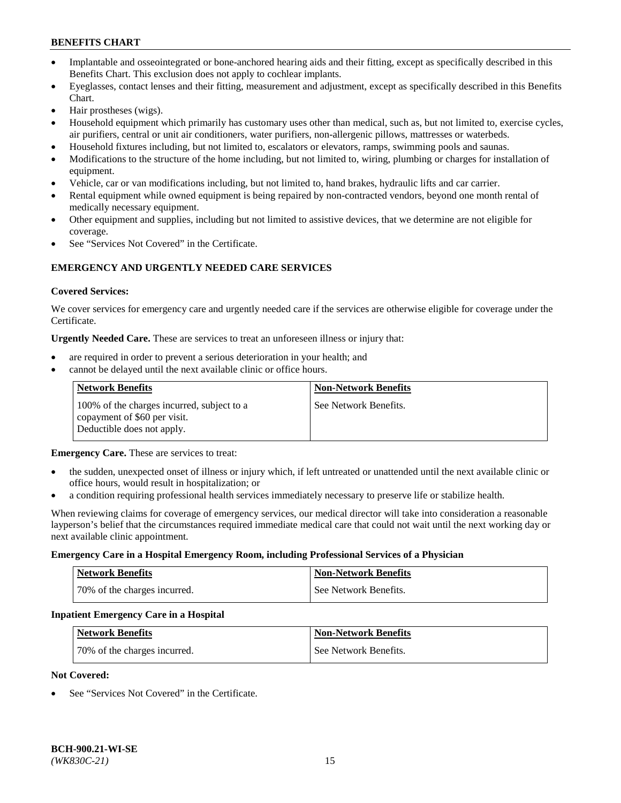- Implantable and osseointegrated or bone-anchored hearing aids and their fitting, except as specifically described in this Benefits Chart. This exclusion does not apply to cochlear implants.
- Eyeglasses, contact lenses and their fitting, measurement and adjustment, except as specifically described in this Benefits Chart.
- Hair prostheses (wigs).
- Household equipment which primarily has customary uses other than medical, such as, but not limited to, exercise cycles, air purifiers, central or unit air conditioners, water purifiers, non-allergenic pillows, mattresses or waterbeds.
- Household fixtures including, but not limited to, escalators or elevators, ramps, swimming pools and saunas.
- Modifications to the structure of the home including, but not limited to, wiring, plumbing or charges for installation of equipment.
- Vehicle, car or van modifications including, but not limited to, hand brakes, hydraulic lifts and car carrier.
- Rental equipment while owned equipment is being repaired by non-contracted vendors, beyond one month rental of medically necessary equipment.
- Other equipment and supplies, including but not limited to assistive devices, that we determine are not eligible for coverage.
- See "Services Not Covered" in the Certificate.

## **EMERGENCY AND URGENTLY NEEDED CARE SERVICES**

### **Covered Services:**

We cover services for emergency care and urgently needed care if the services are otherwise eligible for coverage under the Certificate.

**Urgently Needed Care.** These are services to treat an unforeseen illness or injury that:

- are required in order to prevent a serious deterioration in your health; and
- cannot be delayed until the next available clinic or office hours.

| <b>Network Benefits</b>                                                                                  | <b>Non-Network Benefits</b> |
|----------------------------------------------------------------------------------------------------------|-----------------------------|
| 100% of the charges incurred, subject to a<br>copayment of \$60 per visit.<br>Deductible does not apply. | See Network Benefits.       |

**Emergency Care.** These are services to treat:

- the sudden, unexpected onset of illness or injury which, if left untreated or unattended until the next available clinic or office hours, would result in hospitalization; or
- a condition requiring professional health services immediately necessary to preserve life or stabilize health.

When reviewing claims for coverage of emergency services, our medical director will take into consideration a reasonable layperson's belief that the circumstances required immediate medical care that could not wait until the next working day or next available clinic appointment.

#### **Emergency Care in a Hospital Emergency Room, including Professional Services of a Physician**

| <b>Network Benefits</b>      | <b>Non-Network Benefits</b> |
|------------------------------|-----------------------------|
| 70% of the charges incurred. | See Network Benefits.       |

#### **Inpatient Emergency Care in a Hospital**

| <b>Network Benefits</b>      | <b>Non-Network Benefits</b> |
|------------------------------|-----------------------------|
| 70% of the charges incurred. | See Network Benefits.       |

### **Not Covered:**

See "Services Not Covered" in the Certificate.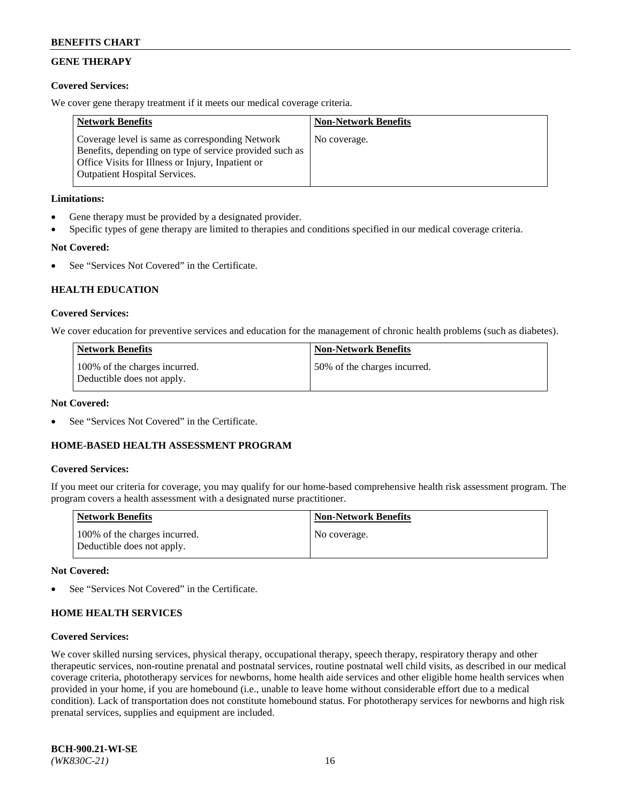# **GENE THERAPY**

## **Covered Services:**

We cover gene therapy treatment if it meets our medical coverage criteria.

| <b>Network Benefits</b>                                                                                                                                                                                 | <b>Non-Network Benefits</b> |
|---------------------------------------------------------------------------------------------------------------------------------------------------------------------------------------------------------|-----------------------------|
| Coverage level is same as corresponding Network<br>Benefits, depending on type of service provided such as<br>Office Visits for Illness or Injury, Inpatient or<br><b>Outpatient Hospital Services.</b> | No coverage.                |

## **Limitations:**

- Gene therapy must be provided by a designated provider.
- Specific types of gene therapy are limited to therapies and conditions specified in our medical coverage criteria.

# **Not Covered:**

See "Services Not Covered" in the Certificate.

## **HEALTH EDUCATION**

## **Covered Services:**

We cover education for preventive services and education for the management of chronic health problems (such as diabetes).

| <b>Network Benefits</b>                                     | <b>Non-Network Benefits</b>  |
|-------------------------------------------------------------|------------------------------|
| 100% of the charges incurred.<br>Deductible does not apply. | 50% of the charges incurred. |

## **Not Covered:**

See "Services Not Covered" in the Certificate.

## **HOME-BASED HEALTH ASSESSMENT PROGRAM**

## **Covered Services:**

If you meet our criteria for coverage, you may qualify for our home-based comprehensive health risk assessment program. The program covers a health assessment with a designated nurse practitioner.

| Network Benefits                                            | <b>Non-Network Benefits</b> |
|-------------------------------------------------------------|-----------------------------|
| 100% of the charges incurred.<br>Deductible does not apply. | No coverage.                |

#### **Not Covered:**

See "Services Not Covered" in the Certificate.

## **HOME HEALTH SERVICES**

#### **Covered Services:**

We cover skilled nursing services, physical therapy, occupational therapy, speech therapy, respiratory therapy and other therapeutic services, non-routine prenatal and postnatal services, routine postnatal well child visits, as described in our medical coverage criteria, phototherapy services for newborns, home health aide services and other eligible home health services when provided in your home, if you are homebound (i.e., unable to leave home without considerable effort due to a medical condition). Lack of transportation does not constitute homebound status. For phototherapy services for newborns and high risk prenatal services, supplies and equipment are included.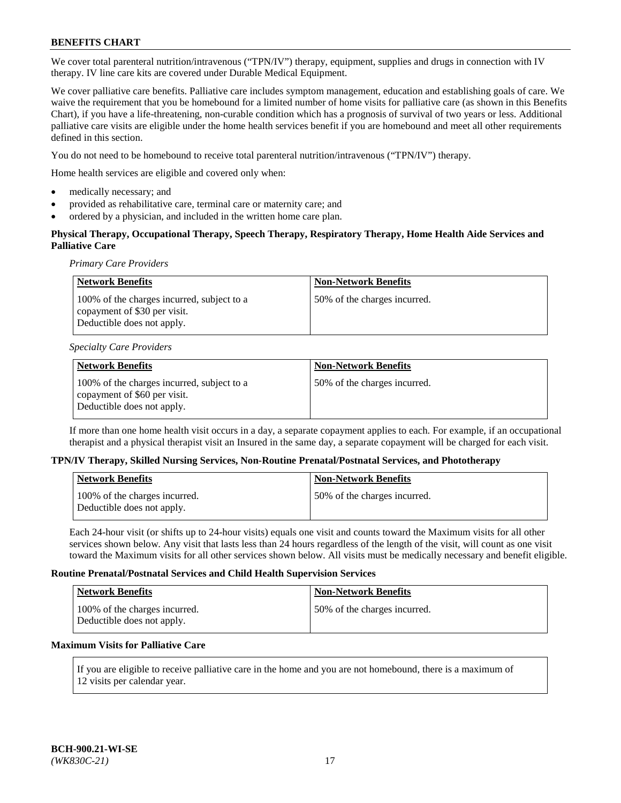We cover total parenteral nutrition/intravenous ("TPN/IV") therapy, equipment, supplies and drugs in connection with IV therapy. IV line care kits are covered under Durable Medical Equipment.

We cover palliative care benefits. Palliative care includes symptom management, education and establishing goals of care. We waive the requirement that you be homebound for a limited number of home visits for palliative care (as shown in this Benefits Chart), if you have a life-threatening, non-curable condition which has a prognosis of survival of two years or less. Additional palliative care visits are eligible under the home health services benefit if you are homebound and meet all other requirements defined in this section.

You do not need to be homebound to receive total parenteral nutrition/intravenous ("TPN/IV") therapy.

Home health services are eligible and covered only when:

- medically necessary; and
- provided as rehabilitative care, terminal care or maternity care; and
- ordered by a physician, and included in the written home care plan.

## **Physical Therapy, Occupational Therapy, Speech Therapy, Respiratory Therapy, Home Health Aide Services and Palliative Care**

*Primary Care Providers*

| <b>Network Benefits</b>                                                                                  | <b>Non-Network Benefits</b>  |
|----------------------------------------------------------------------------------------------------------|------------------------------|
| 100% of the charges incurred, subject to a<br>copayment of \$30 per visit.<br>Deductible does not apply. | 50% of the charges incurred. |

#### *Specialty Care Providers*

| Network Benefits                                                                                         | <b>Non-Network Benefits</b>  |
|----------------------------------------------------------------------------------------------------------|------------------------------|
| 100% of the charges incurred, subject to a<br>copayment of \$60 per visit.<br>Deductible does not apply. | 50% of the charges incurred. |

If more than one home health visit occurs in a day, a separate copayment applies to each. For example, if an occupational therapist and a physical therapist visit an Insured in the same day, a separate copayment will be charged for each visit.

#### **TPN/IV Therapy, Skilled Nursing Services, Non-Routine Prenatal/Postnatal Services, and Phototherapy**

| Network Benefits                                            | <b>Non-Network Benefits</b>  |
|-------------------------------------------------------------|------------------------------|
| 100% of the charges incurred.<br>Deductible does not apply. | 50% of the charges incurred. |

Each 24-hour visit (or shifts up to 24-hour visits) equals one visit and counts toward the Maximum visits for all other services shown below. Any visit that lasts less than 24 hours regardless of the length of the visit, will count as one visit toward the Maximum visits for all other services shown below. All visits must be medically necessary and benefit eligible.

### **Routine Prenatal/Postnatal Services and Child Health Supervision Services**

| <b>Network Benefits</b>                                     | <b>Non-Network Benefits</b>  |
|-------------------------------------------------------------|------------------------------|
| 100% of the charges incurred.<br>Deductible does not apply. | 50% of the charges incurred. |

## **Maximum Visits for Palliative Care**

If you are eligible to receive palliative care in the home and you are not homebound, there is a maximum of 12 visits per calendar year.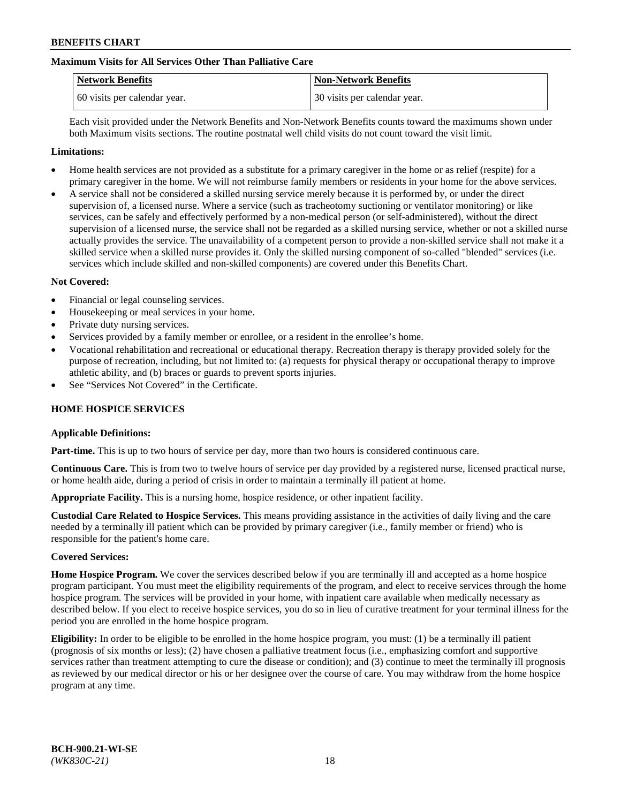## **Maximum Visits for All Services Other Than Palliative Care**

| <b>Network Benefits</b>      | <b>Non-Network Benefits</b>  |
|------------------------------|------------------------------|
| 60 visits per calendar year. | 30 visits per calendar year. |

Each visit provided under the Network Benefits and Non-Network Benefits counts toward the maximums shown under both Maximum visits sections. The routine postnatal well child visits do not count toward the visit limit.

### **Limitations:**

- Home health services are not provided as a substitute for a primary caregiver in the home or as relief (respite) for a primary caregiver in the home. We will not reimburse family members or residents in your home for the above services.
- A service shall not be considered a skilled nursing service merely because it is performed by, or under the direct supervision of, a licensed nurse. Where a service (such as tracheotomy suctioning or ventilator monitoring) or like services, can be safely and effectively performed by a non-medical person (or self-administered), without the direct supervision of a licensed nurse, the service shall not be regarded as a skilled nursing service, whether or not a skilled nurse actually provides the service. The unavailability of a competent person to provide a non-skilled service shall not make it a skilled service when a skilled nurse provides it. Only the skilled nursing component of so-called "blended" services (i.e. services which include skilled and non-skilled components) are covered under this Benefits Chart.

### **Not Covered:**

- Financial or legal counseling services.
- Housekeeping or meal services in your home.
- Private duty nursing services.
- Services provided by a family member or enrollee, or a resident in the enrollee's home.
- Vocational rehabilitation and recreational or educational therapy. Recreation therapy is therapy provided solely for the purpose of recreation, including, but not limited to: (a) requests for physical therapy or occupational therapy to improve athletic ability, and (b) braces or guards to prevent sports injuries.
- See "Services Not Covered" in the Certificate.

## **HOME HOSPICE SERVICES**

#### **Applicable Definitions:**

**Part-time.** This is up to two hours of service per day, more than two hours is considered continuous care.

**Continuous Care.** This is from two to twelve hours of service per day provided by a registered nurse, licensed practical nurse, or home health aide, during a period of crisis in order to maintain a terminally ill patient at home.

**Appropriate Facility.** This is a nursing home, hospice residence, or other inpatient facility.

**Custodial Care Related to Hospice Services.** This means providing assistance in the activities of daily living and the care needed by a terminally ill patient which can be provided by primary caregiver (i.e., family member or friend) who is responsible for the patient's home care.

#### **Covered Services:**

**Home Hospice Program.** We cover the services described below if you are terminally ill and accepted as a home hospice program participant. You must meet the eligibility requirements of the program, and elect to receive services through the home hospice program. The services will be provided in your home, with inpatient care available when medically necessary as described below. If you elect to receive hospice services, you do so in lieu of curative treatment for your terminal illness for the period you are enrolled in the home hospice program.

**Eligibility:** In order to be eligible to be enrolled in the home hospice program, you must: (1) be a terminally ill patient (prognosis of six months or less); (2) have chosen a palliative treatment focus (i.e., emphasizing comfort and supportive services rather than treatment attempting to cure the disease or condition); and (3) continue to meet the terminally ill prognosis as reviewed by our medical director or his or her designee over the course of care. You may withdraw from the home hospice program at any time.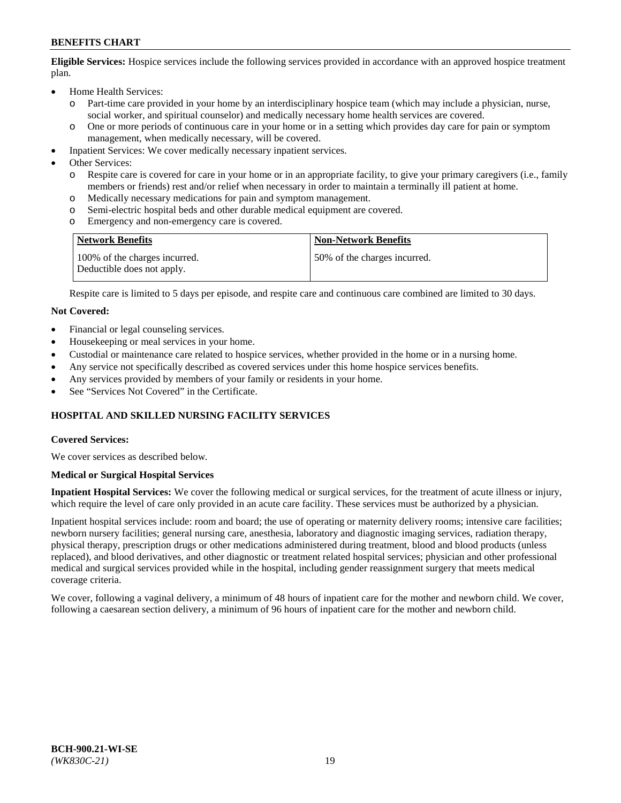**Eligible Services:** Hospice services include the following services provided in accordance with an approved hospice treatment plan.

- Home Health Services:
	- o Part-time care provided in your home by an interdisciplinary hospice team (which may include a physician, nurse, social worker, and spiritual counselor) and medically necessary home health services are covered.
	- o One or more periods of continuous care in your home or in a setting which provides day care for pain or symptom management, when medically necessary, will be covered.
- Inpatient Services: We cover medically necessary inpatient services.
- Other Services:
	- o Respite care is covered for care in your home or in an appropriate facility, to give your primary caregivers (i.e., family members or friends) rest and/or relief when necessary in order to maintain a terminally ill patient at home.
	- o Medically necessary medications for pain and symptom management.
	- Semi-electric hospital beds and other durable medical equipment are covered.
	- o Emergency and non-emergency care is covered.

| <b>Network Benefits</b>                                     | <b>Non-Network Benefits</b>  |
|-------------------------------------------------------------|------------------------------|
| 100% of the charges incurred.<br>Deductible does not apply. | 50% of the charges incurred. |

Respite care is limited to 5 days per episode, and respite care and continuous care combined are limited to 30 days.

### **Not Covered:**

- Financial or legal counseling services.
- Housekeeping or meal services in your home.
- Custodial or maintenance care related to hospice services, whether provided in the home or in a nursing home.
- Any service not specifically described as covered services under this home hospice services benefits.
- Any services provided by members of your family or residents in your home.
- See "Services Not Covered" in the Certificate.

## **HOSPITAL AND SKILLED NURSING FACILITY SERVICES**

#### **Covered Services:**

We cover services as described below.

#### **Medical or Surgical Hospital Services**

**Inpatient Hospital Services:** We cover the following medical or surgical services, for the treatment of acute illness or injury, which require the level of care only provided in an acute care facility. These services must be authorized by a physician.

Inpatient hospital services include: room and board; the use of operating or maternity delivery rooms; intensive care facilities; newborn nursery facilities; general nursing care, anesthesia, laboratory and diagnostic imaging services, radiation therapy, physical therapy, prescription drugs or other medications administered during treatment, blood and blood products (unless replaced), and blood derivatives, and other diagnostic or treatment related hospital services; physician and other professional medical and surgical services provided while in the hospital, including gender reassignment surgery that meets medical coverage criteria.

We cover, following a vaginal delivery, a minimum of 48 hours of inpatient care for the mother and newborn child. We cover, following a caesarean section delivery, a minimum of 96 hours of inpatient care for the mother and newborn child.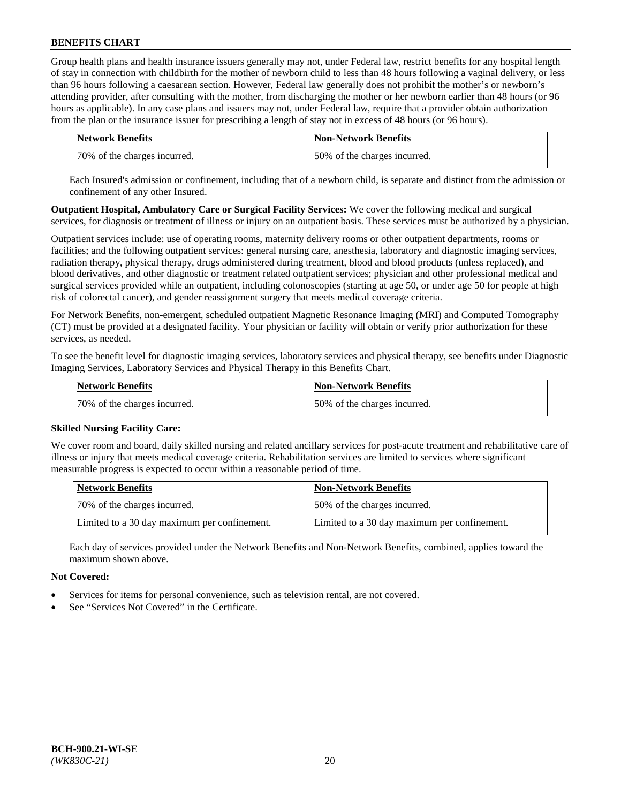Group health plans and health insurance issuers generally may not, under Federal law, restrict benefits for any hospital length of stay in connection with childbirth for the mother of newborn child to less than 48 hours following a vaginal delivery, or less than 96 hours following a caesarean section. However, Federal law generally does not prohibit the mother's or newborn's attending provider, after consulting with the mother, from discharging the mother or her newborn earlier than 48 hours (or 96 hours as applicable). In any case plans and issuers may not, under Federal law, require that a provider obtain authorization from the plan or the insurance issuer for prescribing a length of stay not in excess of 48 hours (or 96 hours).

| Network Benefits             | <b>Non-Network Benefits</b>  |
|------------------------------|------------------------------|
| 70% of the charges incurred. | 50% of the charges incurred. |

Each Insured's admission or confinement, including that of a newborn child, is separate and distinct from the admission or confinement of any other Insured.

**Outpatient Hospital, Ambulatory Care or Surgical Facility Services:** We cover the following medical and surgical services, for diagnosis or treatment of illness or injury on an outpatient basis. These services must be authorized by a physician.

Outpatient services include: use of operating rooms, maternity delivery rooms or other outpatient departments, rooms or facilities; and the following outpatient services: general nursing care, anesthesia, laboratory and diagnostic imaging services, radiation therapy, physical therapy, drugs administered during treatment, blood and blood products (unless replaced), and blood derivatives, and other diagnostic or treatment related outpatient services; physician and other professional medical and surgical services provided while an outpatient, including colonoscopies (starting at age 50, or under age 50 for people at high risk of colorectal cancer), and gender reassignment surgery that meets medical coverage criteria.

For Network Benefits, non-emergent, scheduled outpatient Magnetic Resonance Imaging (MRI) and Computed Tomography (CT) must be provided at a designated facility. Your physician or facility will obtain or verify prior authorization for these services, as needed.

To see the benefit level for diagnostic imaging services, laboratory services and physical therapy, see benefits under Diagnostic Imaging Services, Laboratory Services and Physical Therapy in this Benefits Chart.

| <b>Network Benefits</b>      | <b>Non-Network Benefits</b>  |
|------------------------------|------------------------------|
| 70% of the charges incurred. | 50% of the charges incurred. |

## **Skilled Nursing Facility Care:**

We cover room and board, daily skilled nursing and related ancillary services for post-acute treatment and rehabilitative care of illness or injury that meets medical coverage criteria. Rehabilitation services are limited to services where significant measurable progress is expected to occur within a reasonable period of time.

| <b>Network Benefits</b>                      | <b>Non-Network Benefits</b>                  |
|----------------------------------------------|----------------------------------------------|
| 70% of the charges incurred.                 | 50% of the charges incurred.                 |
| Limited to a 30 day maximum per confinement. | Limited to a 30 day maximum per confinement. |

Each day of services provided under the Network Benefits and Non-Network Benefits, combined, applies toward the maximum shown above.

## **Not Covered:**

- Services for items for personal convenience, such as television rental, are not covered.
- See "Services Not Covered" in the Certificate.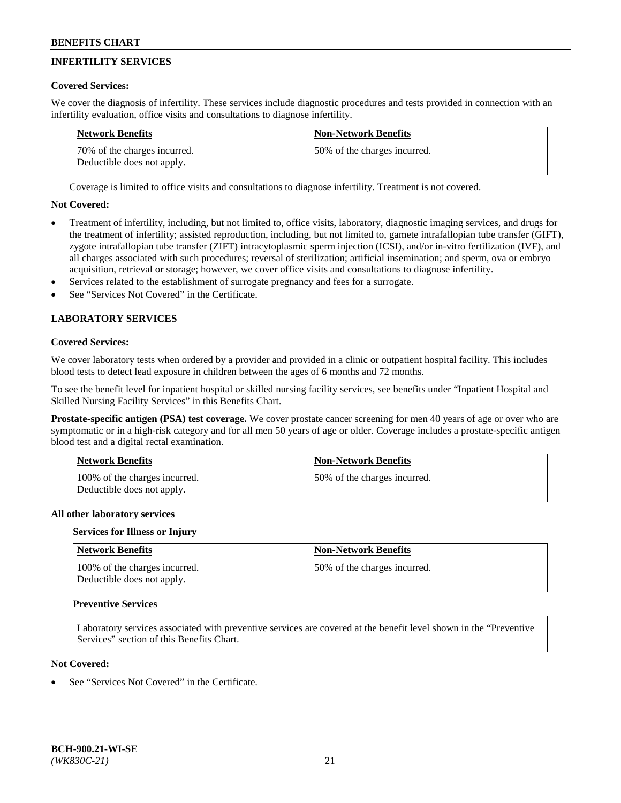# **INFERTILITY SERVICES**

## **Covered Services:**

We cover the diagnosis of infertility. These services include diagnostic procedures and tests provided in connection with an infertility evaluation, office visits and consultations to diagnose infertility.

| Network Benefits                                           | <b>Non-Network Benefits</b>  |
|------------------------------------------------------------|------------------------------|
| 70% of the charges incurred.<br>Deductible does not apply. | 50% of the charges incurred. |

Coverage is limited to office visits and consultations to diagnose infertility. Treatment is not covered.

## **Not Covered:**

- Treatment of infertility, including, but not limited to, office visits, laboratory, diagnostic imaging services, and drugs for the treatment of infertility; assisted reproduction, including, but not limited to, gamete intrafallopian tube transfer (GIFT), zygote intrafallopian tube transfer (ZIFT) intracytoplasmic sperm injection (ICSI), and/or in-vitro fertilization (IVF), and all charges associated with such procedures; reversal of sterilization; artificial insemination; and sperm, ova or embryo acquisition, retrieval or storage; however, we cover office visits and consultations to diagnose infertility.
- Services related to the establishment of surrogate pregnancy and fees for a surrogate.
- See "Services Not Covered" in the Certificate.

## **LABORATORY SERVICES**

### **Covered Services:**

We cover laboratory tests when ordered by a provider and provided in a clinic or outpatient hospital facility. This includes blood tests to detect lead exposure in children between the ages of 6 months and 72 months.

To see the benefit level for inpatient hospital or skilled nursing facility services, see benefits under "Inpatient Hospital and Skilled Nursing Facility Services" in this Benefits Chart.

**Prostate-specific antigen (PSA) test coverage.** We cover prostate cancer screening for men 40 years of age or over who are symptomatic or in a high-risk category and for all men 50 years of age or older. Coverage includes a prostate-specific antigen blood test and a digital rectal examination.

| <b>Network Benefits</b>                                     | <b>Non-Network Benefits</b>   |
|-------------------------------------------------------------|-------------------------------|
| 100% of the charges incurred.<br>Deductible does not apply. | 150% of the charges incurred. |

#### **All other laboratory services**

#### **Services for Illness or Injury**

| <b>Network Benefits</b>                                     | <b>Non-Network Benefits</b>  |
|-------------------------------------------------------------|------------------------------|
| 100% of the charges incurred.<br>Deductible does not apply. | 50% of the charges incurred. |

#### **Preventive Services**

Laboratory services associated with preventive services are covered at the benefit level shown in the "Preventive Services" section of this Benefits Chart.

## **Not Covered:**

See "Services Not Covered" in the Certificate.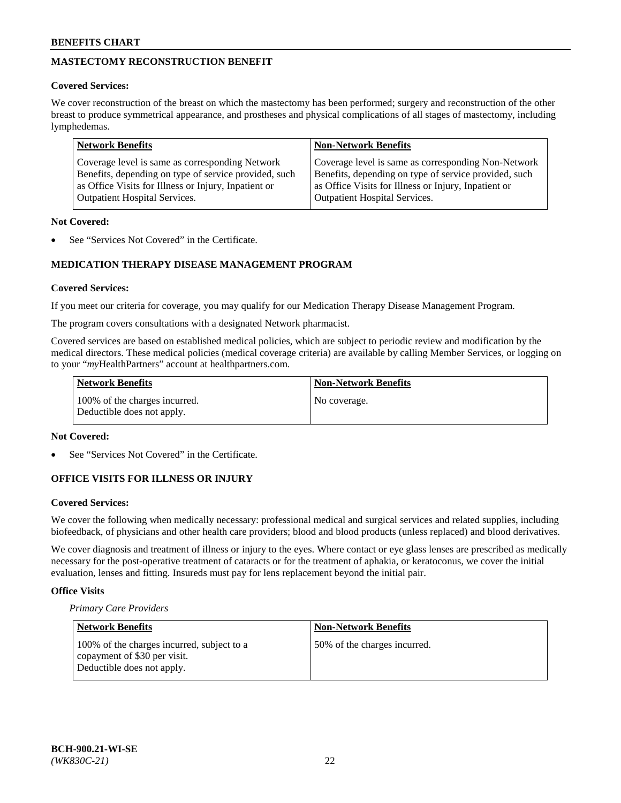# **MASTECTOMY RECONSTRUCTION BENEFIT**

## **Covered Services:**

We cover reconstruction of the breast on which the mastectomy has been performed; surgery and reconstruction of the other breast to produce symmetrical appearance, and prostheses and physical complications of all stages of mastectomy, including lymphedemas.

| <b>Network Benefits</b>                               | <b>Non-Network Benefits</b>                           |
|-------------------------------------------------------|-------------------------------------------------------|
| Coverage level is same as corresponding Network       | Coverage level is same as corresponding Non-Network   |
| Benefits, depending on type of service provided, such | Benefits, depending on type of service provided, such |
| as Office Visits for Illness or Injury, Inpatient or  | as Office Visits for Illness or Injury, Inpatient or  |
| <b>Outpatient Hospital Services.</b>                  | <b>Outpatient Hospital Services.</b>                  |

## **Not Covered:**

See "Services Not Covered" in the Certificate.

# **MEDICATION THERAPY DISEASE MANAGEMENT PROGRAM**

## **Covered Services:**

If you meet our criteria for coverage, you may qualify for our Medication Therapy Disease Management Program.

The program covers consultations with a designated Network pharmacist.

Covered services are based on established medical policies, which are subject to periodic review and modification by the medical directors. These medical policies (medical coverage criteria) are available by calling Member Services, or logging on to your "*my*HealthPartners" account at [healthpartners.com.](http://www.healthpartners.com/)

| <b>Network Benefits</b>                                     | <b>Non-Network Benefits</b> |
|-------------------------------------------------------------|-----------------------------|
| 100% of the charges incurred.<br>Deductible does not apply. | No coverage.                |

### **Not Covered:**

See "Services Not Covered" in the Certificate.

## **OFFICE VISITS FOR ILLNESS OR INJURY**

#### **Covered Services:**

We cover the following when medically necessary: professional medical and surgical services and related supplies, including biofeedback, of physicians and other health care providers; blood and blood products (unless replaced) and blood derivatives.

We cover diagnosis and treatment of illness or injury to the eyes. Where contact or eye glass lenses are prescribed as medically necessary for the post-operative treatment of cataracts or for the treatment of aphakia, or keratoconus, we cover the initial evaluation, lenses and fitting. Insureds must pay for lens replacement beyond the initial pair.

## **Office Visits**

*Primary Care Providers*

| Network Benefits                                                                                         | <b>Non-Network Benefits</b>  |
|----------------------------------------------------------------------------------------------------------|------------------------------|
| 100% of the charges incurred, subject to a<br>copayment of \$30 per visit.<br>Deductible does not apply. | 50% of the charges incurred. |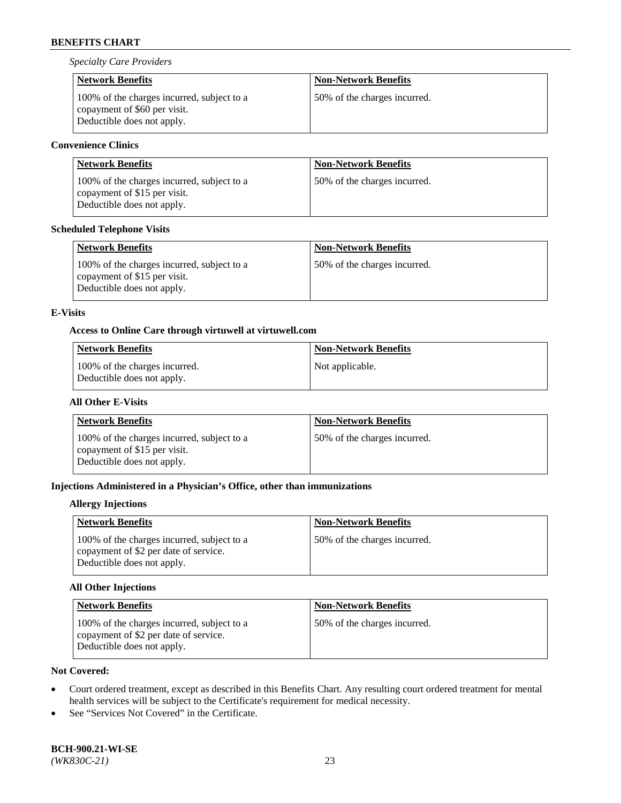*Specialty Care Providers*

| <b>Network Benefits</b>                                                                                  | <b>Non-Network Benefits</b>  |
|----------------------------------------------------------------------------------------------------------|------------------------------|
| 100% of the charges incurred, subject to a<br>copayment of \$60 per visit.<br>Deductible does not apply. | 50% of the charges incurred. |

# **Convenience Clinics**

| <b>Network Benefits</b>                                                                                  | <b>Non-Network Benefits</b>  |
|----------------------------------------------------------------------------------------------------------|------------------------------|
| 100% of the charges incurred, subject to a<br>copayment of \$15 per visit.<br>Deductible does not apply. | 50% of the charges incurred. |

## **Scheduled Telephone Visits**

| <b>Network Benefits</b>                                                                                  | <b>Non-Network Benefits</b>  |
|----------------------------------------------------------------------------------------------------------|------------------------------|
| 100% of the charges incurred, subject to a<br>copayment of \$15 per visit.<br>Deductible does not apply. | 50% of the charges incurred. |

## **E-Visits**

## **Access to Online Care through virtuwell a[t virtuwell.com](https://www.virtuwell.com/)**

| <b>Network Benefits</b>                                     | <b>Non-Network Benefits</b> |
|-------------------------------------------------------------|-----------------------------|
| 100% of the charges incurred.<br>Deductible does not apply. | Not applicable.             |

## **All Other E-Visits**

| <b>Network Benefits</b>                                                                                  | <b>Non-Network Benefits</b>  |
|----------------------------------------------------------------------------------------------------------|------------------------------|
| 100% of the charges incurred, subject to a<br>copayment of \$15 per visit.<br>Deductible does not apply. | 50% of the charges incurred. |

## **Injections Administered in a Physician's Office, other than immunizations**

## **Allergy Injections**

| <b>Network Benefits</b>                                                                                           | <b>Non-Network Benefits</b>  |
|-------------------------------------------------------------------------------------------------------------------|------------------------------|
| 100% of the charges incurred, subject to a<br>copayment of \$2 per date of service.<br>Deductible does not apply. | 50% of the charges incurred. |

## **All Other Injections**

| <b>Network Benefits</b>                                                                                           | <b>Non-Network Benefits</b>  |
|-------------------------------------------------------------------------------------------------------------------|------------------------------|
| 100% of the charges incurred, subject to a<br>copayment of \$2 per date of service.<br>Deductible does not apply. | 50% of the charges incurred. |

# **Not Covered:**

- Court ordered treatment, except as described in this Benefits Chart. Any resulting court ordered treatment for mental health services will be subject to the Certificate's requirement for medical necessity.
- See "Services Not Covered" in the Certificate.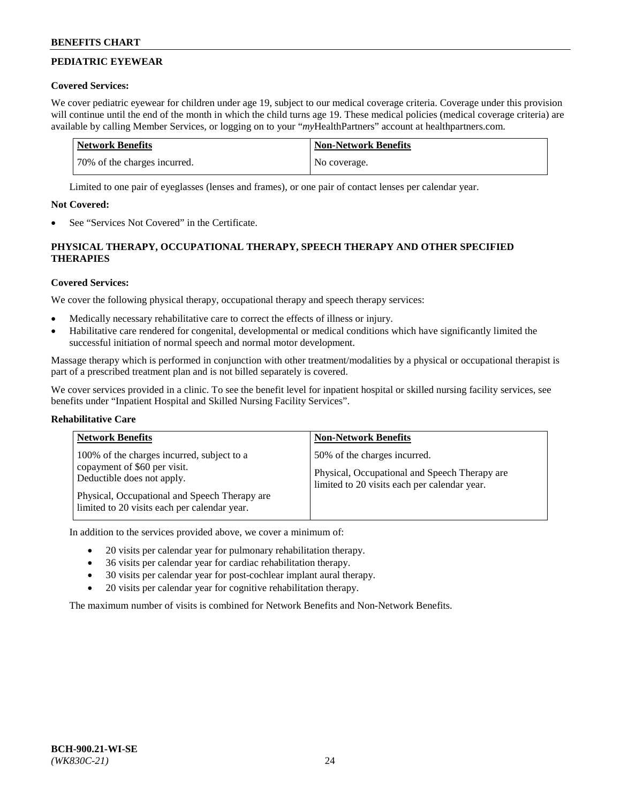# **PEDIATRIC EYEWEAR**

## **Covered Services:**

We cover pediatric eyewear for children under age 19, subject to our medical coverage criteria. Coverage under this provision will continue until the end of the month in which the child turns age 19. These medical policies (medical coverage criteria) are available by calling Member Services, or logging on to your "*my*HealthPartners" account a[t healthpartners.com.](https://www.healthpartners.com/hp/index.html)

| Network Benefits             | <b>Non-Network Benefits</b> |
|------------------------------|-----------------------------|
| 70% of the charges incurred. | No coverage.                |

Limited to one pair of eyeglasses (lenses and frames), or one pair of contact lenses per calendar year.

## **Not Covered:**

See "Services Not Covered" in the Certificate.

# **PHYSICAL THERAPY, OCCUPATIONAL THERAPY, SPEECH THERAPY AND OTHER SPECIFIED THERAPIES**

## **Covered Services:**

We cover the following physical therapy, occupational therapy and speech therapy services:

- Medically necessary rehabilitative care to correct the effects of illness or injury.
- Habilitative care rendered for congenital, developmental or medical conditions which have significantly limited the successful initiation of normal speech and normal motor development.

Massage therapy which is performed in conjunction with other treatment/modalities by a physical or occupational therapist is part of a prescribed treatment plan and is not billed separately is covered.

We cover services provided in a clinic. To see the benefit level for inpatient hospital or skilled nursing facility services, see benefits under "Inpatient Hospital and Skilled Nursing Facility Services".

## **Rehabilitative Care**

| <b>Network Benefits</b>                                                                                                                                                                                   | <b>Non-Network Benefits</b>                                                                                                   |
|-----------------------------------------------------------------------------------------------------------------------------------------------------------------------------------------------------------|-------------------------------------------------------------------------------------------------------------------------------|
| 100% of the charges incurred, subject to a<br>copayment of \$60 per visit.<br>Deductible does not apply.<br>Physical, Occupational and Speech Therapy are<br>limited to 20 visits each per calendar year. | 50% of the charges incurred.<br>Physical, Occupational and Speech Therapy are<br>limited to 20 visits each per calendar year. |

In addition to the services provided above, we cover a minimum of:

- 20 visits per calendar year for pulmonary rehabilitation therapy.
- 36 visits per calendar year for cardiac rehabilitation therapy.
- 30 visits per calendar year for post-cochlear implant aural therapy.
- 20 visits per calendar year for cognitive rehabilitation therapy.

The maximum number of visits is combined for Network Benefits and Non-Network Benefits.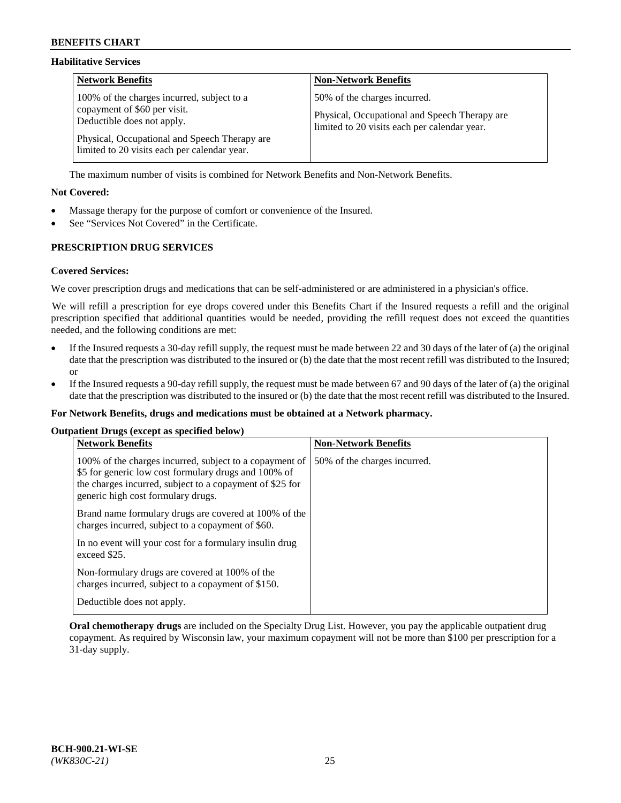### **Habilitative Services**

| <b>Network Benefits</b>                                                                                                                                                                                   | <b>Non-Network Benefits</b>                                                                                                   |
|-----------------------------------------------------------------------------------------------------------------------------------------------------------------------------------------------------------|-------------------------------------------------------------------------------------------------------------------------------|
| 100% of the charges incurred, subject to a<br>copayment of \$60 per visit.<br>Deductible does not apply.<br>Physical, Occupational and Speech Therapy are<br>limited to 20 visits each per calendar year. | 50% of the charges incurred.<br>Physical, Occupational and Speech Therapy are<br>limited to 20 visits each per calendar year. |

The maximum number of visits is combined for Network Benefits and Non-Network Benefits.

## **Not Covered:**

- Massage therapy for the purpose of comfort or convenience of the Insured.
- See "Services Not Covered" in the Certificate.

## **PRESCRIPTION DRUG SERVICES**

### **Covered Services:**

We cover prescription drugs and medications that can be self-administered or are administered in a physician's office.

We will refill a prescription for eye drops covered under this Benefits Chart if the Insured requests a refill and the original prescription specified that additional quantities would be needed, providing the refill request does not exceed the quantities needed, and the following conditions are met:

- If the Insured requests a 30-day refill supply, the request must be made between 22 and 30 days of the later of (a) the original date that the prescription was distributed to the insured or (b) the date that the most recent refill was distributed to the Insured; or
- If the Insured requests a 90-day refill supply, the request must be made between 67 and 90 days of the later of (a) the original date that the prescription was distributed to the insured or (b) the date that the most recent refill was distributed to the Insured.

#### **For Network Benefits, drugs and medications must be obtained at a Network pharmacy.**

#### **Outpatient Drugs (except as specified below)**

| <b>Network Benefits</b>                                                                                                                                                                                           | <b>Non-Network Benefits</b>  |
|-------------------------------------------------------------------------------------------------------------------------------------------------------------------------------------------------------------------|------------------------------|
| 100% of the charges incurred, subject to a copayment of<br>\$5 for generic low cost formulary drugs and 100% of<br>the charges incurred, subject to a copayment of \$25 for<br>generic high cost formulary drugs. | 50% of the charges incurred. |
| Brand name formulary drugs are covered at 100% of the<br>charges incurred, subject to a copayment of \$60.                                                                                                        |                              |
| In no event will your cost for a formulary insulin drug<br>exceed \$25.                                                                                                                                           |                              |
| Non-formulary drugs are covered at 100% of the<br>charges incurred, subject to a copayment of \$150.                                                                                                              |                              |
| Deductible does not apply.                                                                                                                                                                                        |                              |

**Oral chemotherapy drugs** are included on the Specialty Drug List. However, you pay the applicable outpatient drug copayment. As required by Wisconsin law, your maximum copayment will not be more than \$100 per prescription for a 31-day supply.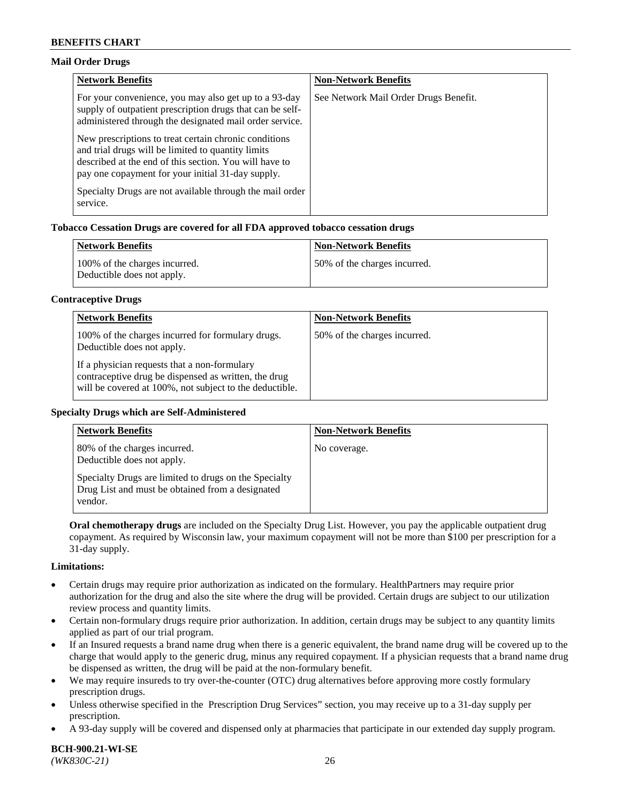## **Mail Order Drugs**

| <b>Network Benefits</b>                                                                                                                                                                                                    | <b>Non-Network Benefits</b>           |
|----------------------------------------------------------------------------------------------------------------------------------------------------------------------------------------------------------------------------|---------------------------------------|
| For your convenience, you may also get up to a 93-day<br>supply of outpatient prescription drugs that can be self-<br>administered through the designated mail order service.                                              | See Network Mail Order Drugs Benefit. |
| New prescriptions to treat certain chronic conditions<br>and trial drugs will be limited to quantity limits<br>described at the end of this section. You will have to<br>pay one copayment for your initial 31-day supply. |                                       |
| Specialty Drugs are not available through the mail order<br>service.                                                                                                                                                       |                                       |

## **Tobacco Cessation Drugs are covered for all FDA approved tobacco cessation drugs**

| <b>Network Benefits</b>                                     | <b>Non-Network Benefits</b>  |
|-------------------------------------------------------------|------------------------------|
| 100% of the charges incurred.<br>Deductible does not apply. | 50% of the charges incurred. |

#### **Contraceptive Drugs**

| <b>Network Benefits</b>                                                                                                                                         | <b>Non-Network Benefits</b>  |
|-----------------------------------------------------------------------------------------------------------------------------------------------------------------|------------------------------|
| 100% of the charges incurred for formulary drugs.<br>Deductible does not apply.                                                                                 | 50% of the charges incurred. |
| If a physician requests that a non-formulary<br>contraceptive drug be dispensed as written, the drug<br>will be covered at 100%, not subject to the deductible. |                              |

#### **Specialty Drugs which are Self-Administered**

| <b>Network Benefits</b>                                                                                              | <b>Non-Network Benefits</b> |
|----------------------------------------------------------------------------------------------------------------------|-----------------------------|
| 80% of the charges incurred.<br>Deductible does not apply.                                                           | No coverage.                |
| Specialty Drugs are limited to drugs on the Specialty<br>Drug List and must be obtained from a designated<br>vendor. |                             |

**Oral chemotherapy drugs** are included on the Specialty Drug List. However, you pay the applicable outpatient drug copayment. As required by Wisconsin law, your maximum copayment will not be more than \$100 per prescription for a 31-day supply.

#### **Limitations:**

- Certain drugs may require prior authorization as indicated on the formulary. HealthPartners may require prior authorization for the drug and also the site where the drug will be provided. Certain drugs are subject to our utilization review process and quantity limits.
- Certain non-formulary drugs require prior authorization. In addition, certain drugs may be subject to any quantity limits applied as part of our trial program.
- If an Insured requests a brand name drug when there is a generic equivalent, the brand name drug will be covered up to the charge that would apply to the generic drug, minus any required copayment. If a physician requests that a brand name drug be dispensed as written, the drug will be paid at the non-formulary benefit.
- We may require insureds to try over-the-counter (OTC) drug alternatives before approving more costly formulary prescription drugs.
- Unless otherwise specified in the Prescription Drug Services" section, you may receive up to a 31-day supply per prescription.
- A 93-day supply will be covered and dispensed only at pharmacies that participate in our extended day supply program.

**BCH-900.21-WI-SE**  *(WK830C-21)* 26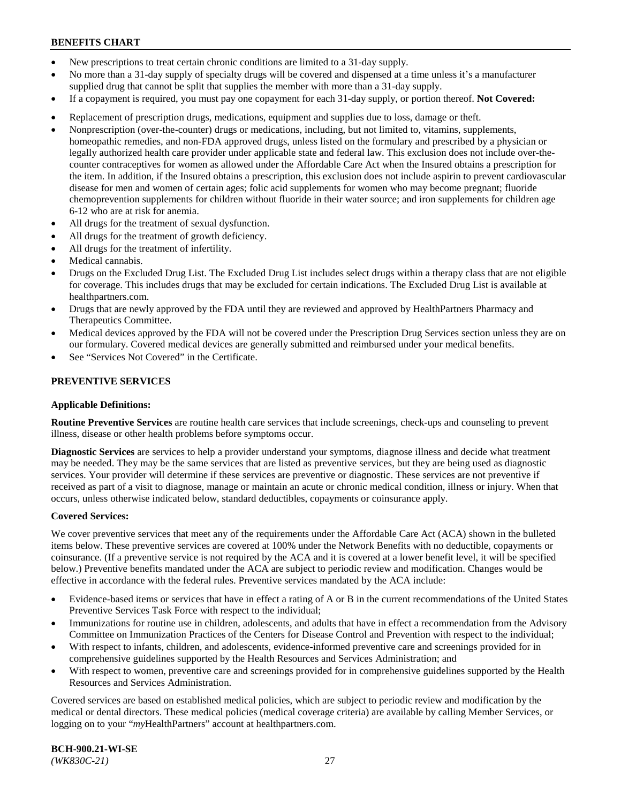- New prescriptions to treat certain chronic conditions are limited to a 31-day supply.
- No more than a 31-day supply of specialty drugs will be covered and dispensed at a time unless it's a manufacturer supplied drug that cannot be split that supplies the member with more than a 31-day supply.
- If a copayment is required, you must pay one copayment for each 31-day supply, or portion thereof. **Not Covered:**
- Replacement of prescription drugs, medications, equipment and supplies due to loss, damage or theft.
- Nonprescription (over-the-counter) drugs or medications, including, but not limited to, vitamins, supplements, homeopathic remedies, and non-FDA approved drugs, unless listed on the formulary and prescribed by a physician or legally authorized health care provider under applicable state and federal law. This exclusion does not include over-thecounter contraceptives for women as allowed under the Affordable Care Act when the Insured obtains a prescription for the item. In addition, if the Insured obtains a prescription, this exclusion does not include aspirin to prevent cardiovascular disease for men and women of certain ages; folic acid supplements for women who may become pregnant; fluoride chemoprevention supplements for children without fluoride in their water source; and iron supplements for children age 6-12 who are at risk for anemia.
- All drugs for the treatment of sexual dysfunction.
- All drugs for the treatment of growth deficiency.
- All drugs for the treatment of infertility.
- Medical cannabis.
- Drugs on the Excluded Drug List. The Excluded Drug List includes select drugs within a therapy class that are not eligible for coverage. This includes drugs that may be excluded for certain indications. The Excluded Drug List is available at [healthpartners.com.](http://www.healthpartners.com/)
- Drugs that are newly approved by the FDA until they are reviewed and approved by HealthPartners Pharmacy and Therapeutics Committee.
- Medical devices approved by the FDA will not be covered under the Prescription Drug Services section unless they are on our formulary. Covered medical devices are generally submitted and reimbursed under your medical benefits.
- See "Services Not Covered" in the Certificate.

## **PREVENTIVE SERVICES**

#### **Applicable Definitions:**

**Routine Preventive Services** are routine health care services that include screenings, check-ups and counseling to prevent illness, disease or other health problems before symptoms occur.

**Diagnostic Services** are services to help a provider understand your symptoms, diagnose illness and decide what treatment may be needed. They may be the same services that are listed as preventive services, but they are being used as diagnostic services. Your provider will determine if these services are preventive or diagnostic. These services are not preventive if received as part of a visit to diagnose, manage or maintain an acute or chronic medical condition, illness or injury. When that occurs, unless otherwise indicated below, standard deductibles, copayments or coinsurance apply.

#### **Covered Services:**

We cover preventive services that meet any of the requirements under the Affordable Care Act (ACA) shown in the bulleted items below. These preventive services are covered at 100% under the Network Benefits with no deductible, copayments or coinsurance. (If a preventive service is not required by the ACA and it is covered at a lower benefit level, it will be specified below.) Preventive benefits mandated under the ACA are subject to periodic review and modification. Changes would be effective in accordance with the federal rules. Preventive services mandated by the ACA include:

- Evidence-based items or services that have in effect a rating of A or B in the current recommendations of the United States Preventive Services Task Force with respect to the individual;
- Immunizations for routine use in children, adolescents, and adults that have in effect a recommendation from the Advisory Committee on Immunization Practices of the Centers for Disease Control and Prevention with respect to the individual;
- With respect to infants, children, and adolescents, evidence-informed preventive care and screenings provided for in comprehensive guidelines supported by the Health Resources and Services Administration; and
- With respect to women, preventive care and screenings provided for in comprehensive guidelines supported by the Health Resources and Services Administration.

Covered services are based on established medical policies, which are subject to periodic review and modification by the medical or dental directors. These medical policies (medical coverage criteria) are available by calling Member Services, or logging on to your "*my*HealthPartners" account at [healthpartners.com.](https://www.healthpartners.com/hp/index.html)

**BCH-900.21-WI-SE**  *(WK830C-21)* 27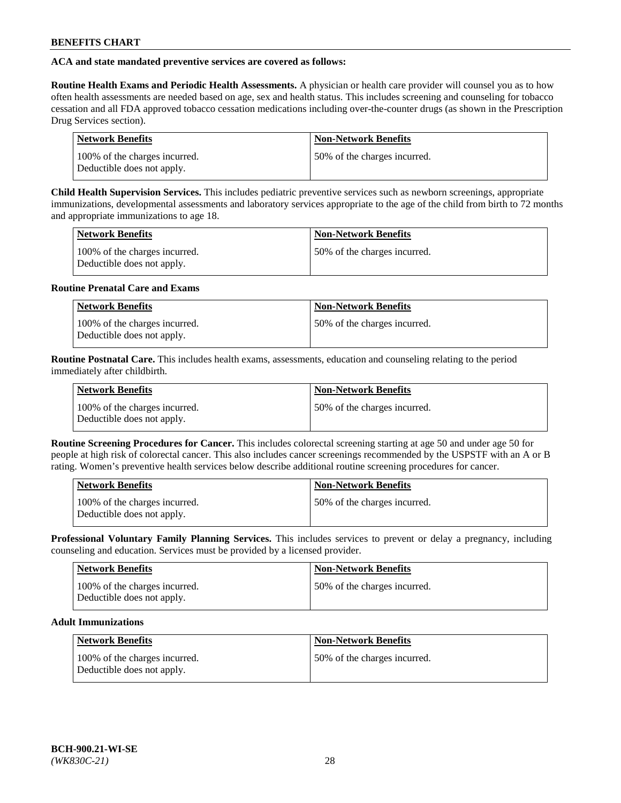## **ACA and state mandated preventive services are covered as follows:**

**Routine Health Exams and Periodic Health Assessments.** A physician or health care provider will counsel you as to how often health assessments are needed based on age, sex and health status. This includes screening and counseling for tobacco cessation and all FDA approved tobacco cessation medications including over-the-counter drugs (as shown in the Prescription Drug Services section).

| Network Benefits                                            | <b>Non-Network Benefits</b>   |
|-------------------------------------------------------------|-------------------------------|
| 100% of the charges incurred.<br>Deductible does not apply. | 150% of the charges incurred. |

**Child Health Supervision Services.** This includes pediatric preventive services such as newborn screenings, appropriate immunizations, developmental assessments and laboratory services appropriate to the age of the child from birth to 72 months and appropriate immunizations to age 18.

| <b>Network Benefits</b>                                     | <b>Non-Network Benefits</b>  |
|-------------------------------------------------------------|------------------------------|
| 100% of the charges incurred.<br>Deductible does not apply. | 50% of the charges incurred. |

### **Routine Prenatal Care and Exams**

| <b>Network Benefits</b>                                     | <b>Non-Network Benefits</b>   |
|-------------------------------------------------------------|-------------------------------|
| 100% of the charges incurred.<br>Deductible does not apply. | 150% of the charges incurred. |

**Routine Postnatal Care.** This includes health exams, assessments, education and counseling relating to the period immediately after childbirth.

| <b>Network Benefits</b>                                     | <b>Non-Network Benefits</b>  |
|-------------------------------------------------------------|------------------------------|
| 100% of the charges incurred.<br>Deductible does not apply. | 50% of the charges incurred. |

**Routine Screening Procedures for Cancer.** This includes colorectal screening starting at age 50 and under age 50 for people at high risk of colorectal cancer. This also includes cancer screenings recommended by the USPSTF with an A or B rating. Women's preventive health services below describe additional routine screening procedures for cancer.

| Network Benefits                                            | <b>Non-Network Benefits</b>  |
|-------------------------------------------------------------|------------------------------|
| 100% of the charges incurred.<br>Deductible does not apply. | 50% of the charges incurred. |

**Professional Voluntary Family Planning Services.** This includes services to prevent or delay a pregnancy, including counseling and education. Services must be provided by a licensed provider.

| Network Benefits                                            | <b>Non-Network Benefits</b>  |
|-------------------------------------------------------------|------------------------------|
| 100% of the charges incurred.<br>Deductible does not apply. | 50% of the charges incurred. |

## **Adult Immunizations**

| <b>Network Benefits</b>                                     | Non-Network Benefits         |
|-------------------------------------------------------------|------------------------------|
| 100% of the charges incurred.<br>Deductible does not apply. | 50% of the charges incurred. |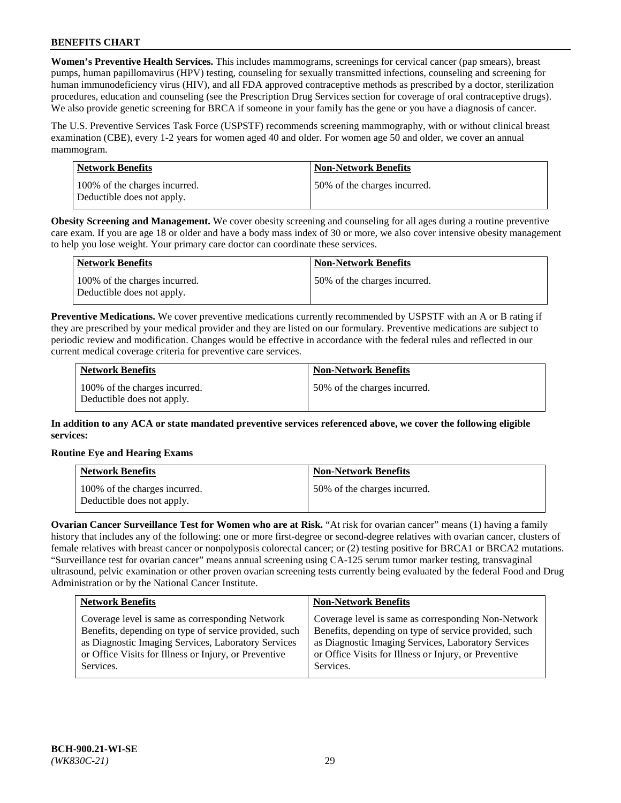**Women's Preventive Health Services.** This includes mammograms, screenings for cervical cancer (pap smears), breast pumps, human papillomavirus (HPV) testing, counseling for sexually transmitted infections, counseling and screening for human immunodeficiency virus (HIV), and all FDA approved contraceptive methods as prescribed by a doctor, sterilization procedures, education and counseling (see the Prescription Drug Services section for coverage of oral contraceptive drugs). We also provide genetic screening for BRCA if someone in your family has the gene or you have a diagnosis of cancer.

The U.S. Preventive Services Task Force (USPSTF) recommends screening mammography, with or without clinical breast examination (CBE), every 1-2 years for women aged 40 and older. For women age 50 and older, we cover an annual mammogram.

| Network Benefits                                            | <b>Non-Network Benefits</b>  |
|-------------------------------------------------------------|------------------------------|
| 100% of the charges incurred.<br>Deductible does not apply. | 50% of the charges incurred. |

**Obesity Screening and Management.** We cover obesity screening and counseling for all ages during a routine preventive care exam. If you are age 18 or older and have a body mass index of 30 or more, we also cover intensive obesity management to help you lose weight. Your primary care doctor can coordinate these services.

| Network Benefits                                            | <b>Non-Network Benefits</b>  |
|-------------------------------------------------------------|------------------------------|
| 100% of the charges incurred.<br>Deductible does not apply. | 50% of the charges incurred. |

**Preventive Medications.** We cover preventive medications currently recommended by USPSTF with an A or B rating if they are prescribed by your medical provider and they are listed on our formulary. Preventive medications are subject to periodic review and modification. Changes would be effective in accordance with the federal rules and reflected in our current medical coverage criteria for preventive care services.

| <b>Network Benefits</b>                                     | <b>Non-Network Benefits</b>  |
|-------------------------------------------------------------|------------------------------|
| 100% of the charges incurred.<br>Deductible does not apply. | 50% of the charges incurred. |

**In addition to any ACA or state mandated preventive services referenced above, we cover the following eligible services:**

## **Routine Eye and Hearing Exams**

| <b>Network Benefits</b>                                     | <b>Non-Network Benefits</b>  |
|-------------------------------------------------------------|------------------------------|
| 100% of the charges incurred.<br>Deductible does not apply. | 50% of the charges incurred. |

**Ovarian Cancer Surveillance Test for Women who are at Risk.** "At risk for ovarian cancer" means (1) having a family history that includes any of the following: one or more first-degree or second-degree relatives with ovarian cancer, clusters of female relatives with breast cancer or nonpolyposis colorectal cancer; or (2) testing positive for BRCA1 or BRCA2 mutations. "Surveillance test for ovarian cancer" means annual screening using CA-125 serum tumor marker testing, transvaginal ultrasound, pelvic examination or other proven ovarian screening tests currently being evaluated by the federal Food and Drug Administration or by the National Cancer Institute.

| <b>Network Benefits</b>                               | <b>Non-Network Benefits</b>                           |
|-------------------------------------------------------|-------------------------------------------------------|
| Coverage level is same as corresponding Network       | Coverage level is same as corresponding Non-Network   |
| Benefits, depending on type of service provided, such | Benefits, depending on type of service provided, such |
| as Diagnostic Imaging Services, Laboratory Services   | as Diagnostic Imaging Services, Laboratory Services   |
| or Office Visits for Illness or Injury, or Preventive | or Office Visits for Illness or Injury, or Preventive |
| Services.                                             | Services.                                             |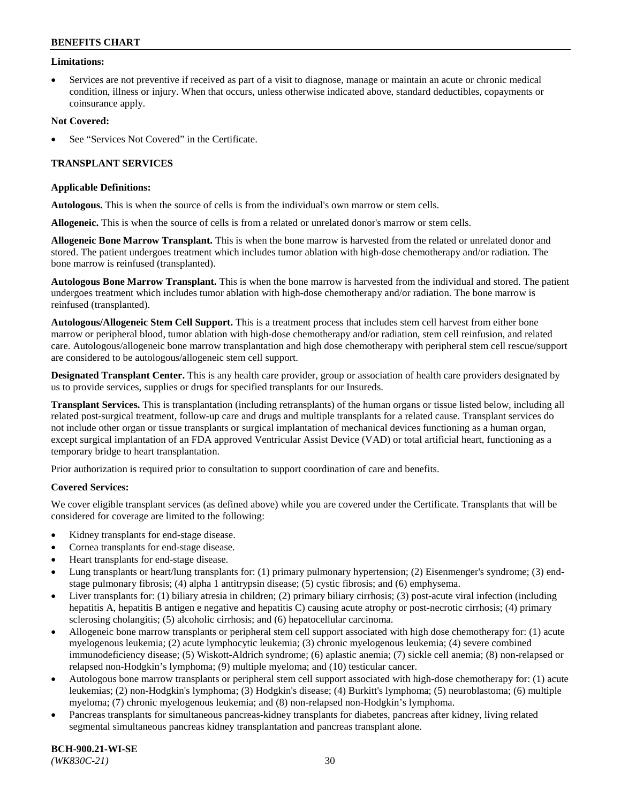### **Limitations:**

• Services are not preventive if received as part of a visit to diagnose, manage or maintain an acute or chronic medical condition, illness or injury. When that occurs, unless otherwise indicated above, standard deductibles, copayments or coinsurance apply.

### **Not Covered:**

See "Services Not Covered" in the Certificate.

## **TRANSPLANT SERVICES**

#### **Applicable Definitions:**

**Autologous.** This is when the source of cells is from the individual's own marrow or stem cells.

**Allogeneic.** This is when the source of cells is from a related or unrelated donor's marrow or stem cells.

**Allogeneic Bone Marrow Transplant.** This is when the bone marrow is harvested from the related or unrelated donor and stored. The patient undergoes treatment which includes tumor ablation with high-dose chemotherapy and/or radiation. The bone marrow is reinfused (transplanted).

**Autologous Bone Marrow Transplant.** This is when the bone marrow is harvested from the individual and stored. The patient undergoes treatment which includes tumor ablation with high-dose chemotherapy and/or radiation. The bone marrow is reinfused (transplanted).

**Autologous/Allogeneic Stem Cell Support.** This is a treatment process that includes stem cell harvest from either bone marrow or peripheral blood, tumor ablation with high-dose chemotherapy and/or radiation, stem cell reinfusion, and related care. Autologous/allogeneic bone marrow transplantation and high dose chemotherapy with peripheral stem cell rescue/support are considered to be autologous/allogeneic stem cell support.

**Designated Transplant Center.** This is any health care provider, group or association of health care providers designated by us to provide services, supplies or drugs for specified transplants for our Insureds.

**Transplant Services.** This is transplantation (including retransplants) of the human organs or tissue listed below, including all related post-surgical treatment, follow-up care and drugs and multiple transplants for a related cause. Transplant services do not include other organ or tissue transplants or surgical implantation of mechanical devices functioning as a human organ, except surgical implantation of an FDA approved Ventricular Assist Device (VAD) or total artificial heart, functioning as a temporary bridge to heart transplantation.

Prior authorization is required prior to consultation to support coordination of care and benefits.

#### **Covered Services:**

We cover eligible transplant services (as defined above) while you are covered under the Certificate. Transplants that will be considered for coverage are limited to the following:

- Kidney transplants for end-stage disease.
- Cornea transplants for end-stage disease.
- Heart transplants for end-stage disease.
- Lung transplants or heart/lung transplants for: (1) primary pulmonary hypertension; (2) Eisenmenger's syndrome; (3) endstage pulmonary fibrosis; (4) alpha 1 antitrypsin disease; (5) cystic fibrosis; and (6) emphysema.
- Liver transplants for: (1) biliary atresia in children; (2) primary biliary cirrhosis; (3) post-acute viral infection (including hepatitis A, hepatitis B antigen e negative and hepatitis C) causing acute atrophy or post-necrotic cirrhosis; (4) primary sclerosing cholangitis; (5) alcoholic cirrhosis; and (6) hepatocellular carcinoma.
- Allogeneic bone marrow transplants or peripheral stem cell support associated with high dose chemotherapy for: (1) acute myelogenous leukemia; (2) acute lymphocytic leukemia; (3) chronic myelogenous leukemia; (4) severe combined immunodeficiency disease; (5) Wiskott-Aldrich syndrome; (6) aplastic anemia; (7) sickle cell anemia; (8) non-relapsed or relapsed non-Hodgkin's lymphoma; (9) multiple myeloma; and (10) testicular cancer.
- Autologous bone marrow transplants or peripheral stem cell support associated with high-dose chemotherapy for: (1) acute leukemias; (2) non-Hodgkin's lymphoma; (3) Hodgkin's disease; (4) Burkitt's lymphoma; (5) neuroblastoma; (6) multiple myeloma; (7) chronic myelogenous leukemia; and (8) non-relapsed non-Hodgkin's lymphoma.
- Pancreas transplants for simultaneous pancreas-kidney transplants for diabetes, pancreas after kidney, living related segmental simultaneous pancreas kidney transplantation and pancreas transplant alone.